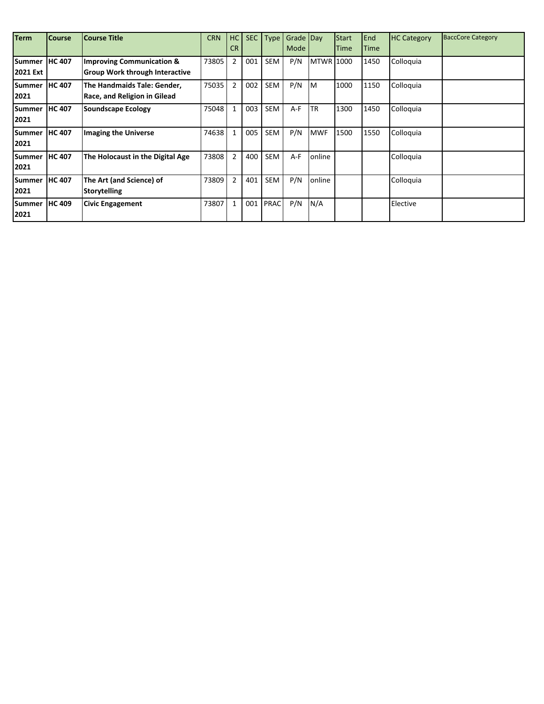| <b>Term</b>   | <b>Course</b> | <b>Course Title</b>                   | <b>CRN</b> | HC             | <b>SEC</b> | <b>Type</b> | Grade Day |                  | Start | End          | <b>HC Category</b> | <b>BaccCore Category</b> |
|---------------|---------------|---------------------------------------|------------|----------------|------------|-------------|-----------|------------------|-------|--------------|--------------------|--------------------------|
|               |               |                                       |            | <b>CR</b>      |            |             | Mode      |                  | Time  | <b>ITime</b> |                    |                          |
| Summer        | <b>HC 407</b> | <b>Improving Communication &amp;</b>  | 73805      | $\overline{2}$ | 001        | <b>SEM</b>  | P/N       | <b>MTWR 1000</b> |       | 1450         | Colloquia          |                          |
| 2021 Ext      |               | <b>Group Work through Interactive</b> |            |                |            |             |           |                  |       |              |                    |                          |
| <b>Summer</b> | <b>HC 407</b> | The Handmaids Tale: Gender,           | 75035      | $\overline{2}$ | 002        | <b>SEM</b>  | P/N       | M                | 1000  | 1150         | Colloquia          |                          |
| 2021          |               | <b>Race, and Religion in Gilead</b>   |            |                |            |             |           |                  |       |              |                    |                          |
| <b>Summer</b> | <b>HC 407</b> | Soundscape Ecology                    | 75048      | $\mathbf{1}$   | 003        | <b>SEM</b>  | $A-F$     | <b>TR</b>        | 1300  | 1450         | Colloquia          |                          |
| 2021          |               |                                       |            |                |            |             |           |                  |       |              |                    |                          |
| <b>Summer</b> | <b>HC 407</b> | <b>Imaging the Universe</b>           | 74638      | $\mathbf{1}$   | 005        | <b>SEM</b>  | P/N       | <b>MWF</b>       | 1500  | 1550         | Colloquia          |                          |
| 2021          |               |                                       |            |                |            |             |           |                  |       |              |                    |                          |
| <b>Summer</b> | <b>HC 407</b> | The Holocaust in the Digital Age      | 73808      | $\overline{2}$ | 400        | <b>SEM</b>  | A-F       | online           |       |              | Colloquia          |                          |
| 2021          |               |                                       |            |                |            |             |           |                  |       |              |                    |                          |
| Summer        | <b>HC 407</b> | The Art (and Science) of              | 73809      | $\overline{2}$ | 401        | <b>SEM</b>  | P/N       | online           |       |              | Colloquia          |                          |
| 2021          |               | <b>Storytelling</b>                   |            |                |            |             |           |                  |       |              |                    |                          |
| Summer        | <b>HC 409</b> | <b>Civic Engagement</b>               | 73807      | $\mathbf{1}$   | 001        | <b>PRAC</b> | P/N       | N/A              |       |              | Elective           |                          |
| 2021          |               |                                       |            |                |            |             |           |                  |       |              |                    |                          |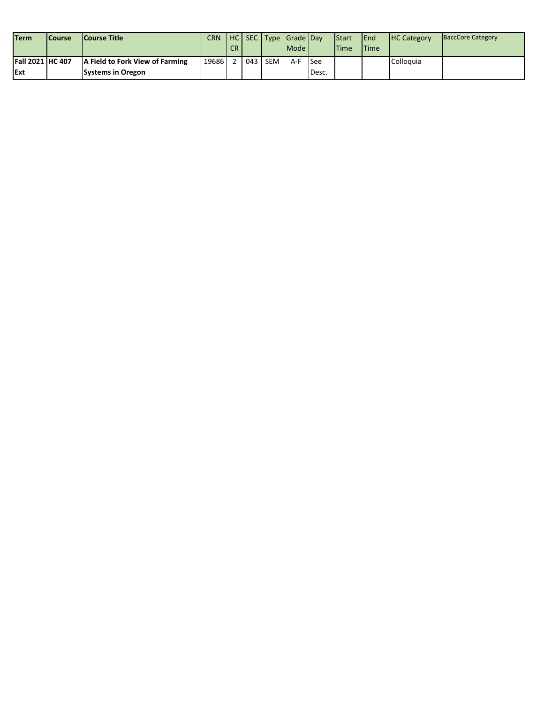| <b>Term</b>             | <b>ICourse</b> | <b>Course Title</b>             | CRN.  |     |         | HC SEC Type Grade Day |            | <b>I</b> Start | <b>I</b> End | <b>HC Category</b> | <b>BaccCore Category</b> |
|-------------------------|----------------|---------------------------------|-------|-----|---------|-----------------------|------------|----------------|--------------|--------------------|--------------------------|
|                         |                |                                 |       | CR. |         | Mode                  |            | <b>ITime</b>   | <b>ITime</b> |                    |                          |
| <b>Fall 2021 HC 407</b> |                | A Field to Fork View of Farming | 19686 |     | 043 SEM | A-F                   | <b>See</b> |                |              | Colloguia          |                          |
| <b>IExt</b>             |                | <b>Systems in Oregon</b>        |       |     |         |                       | Desc.      |                |              |                    |                          |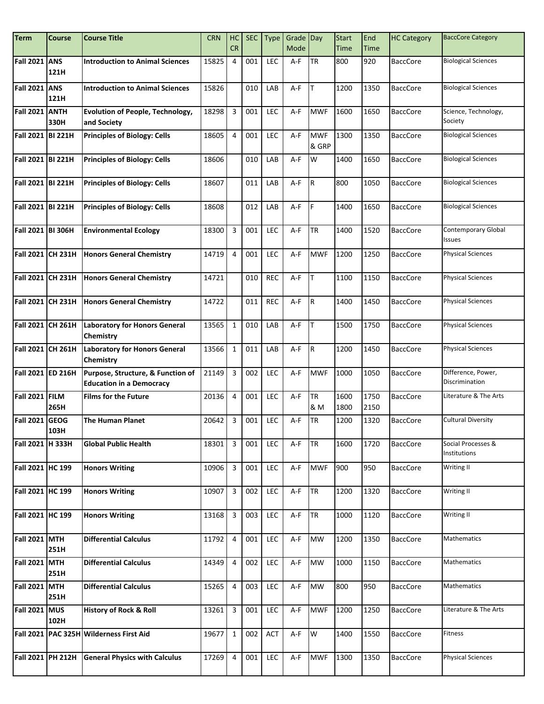| <b>Term</b>           | <b>Course</b>      | <b>Course Title</b>                                                  | <b>CRN</b> | HC<br><b>CR</b>         | <b>SEC</b> | <b>Type</b> | Grade Day<br>Mode |                     | <b>Start</b><br>Time | End<br><b>Time</b> | <b>HC Category</b> | <b>BaccCore Category</b>             |
|-----------------------|--------------------|----------------------------------------------------------------------|------------|-------------------------|------------|-------------|-------------------|---------------------|----------------------|--------------------|--------------------|--------------------------------------|
|                       |                    |                                                                      |            |                         |            |             |                   |                     |                      |                    |                    |                                      |
| Fall 2021 ANS         | 121H               | <b>Introduction to Animal Sciences</b>                               | 15825      | 4                       | 001        | LEC         | A-F               | <b>TR</b>           | 800                  | 920                | <b>BaccCore</b>    | <b>Biological Sciences</b>           |
| <b>Fall 2021</b>      | <b>ANS</b><br>121H | <b>Introduction to Animal Sciences</b>                               | 15826      |                         | 010        | LAB         | A-F               | T                   | 1200                 | 1350               | <b>BaccCore</b>    | <b>Biological Sciences</b>           |
| <b>Fall 2021 ANTH</b> | 330H               | <b>Evolution of People, Technology,</b><br>and Society               | 18298      | $\overline{3}$          | 001        | LEC         | $A-F$             | <b>MWF</b>          | 1600                 | 1650               | <b>BaccCore</b>    | Science, Technology,<br>Society      |
| Fall 2021 BI 221H     |                    | <b>Principles of Biology: Cells</b>                                  | 18605      | $\overline{4}$          | 001        | LEC         | $A-F$             | <b>MWF</b><br>& GRP | 1300                 | 1350               | <b>BaccCore</b>    | <b>Biological Sciences</b>           |
| Fall 2021 BI 221H     |                    | <b>Principles of Biology: Cells</b>                                  | 18606      |                         | 010        | LAB         | $A-F$             | W                   | 1400                 | 1650               | <b>BaccCore</b>    | <b>Biological Sciences</b>           |
| Fall 2021 BI 221H     |                    | <b>Principles of Biology: Cells</b>                                  | 18607      |                         | 011        | LAB         | A-F               | R.                  | 800                  | 1050               | <b>BaccCore</b>    | <b>Biological Sciences</b>           |
| Fall 2021 BI 221H     |                    | <b>Principles of Biology: Cells</b>                                  | 18608      |                         | 012        | LAB         | A-F               | F                   | 1400                 | 1650               | <b>BaccCore</b>    | <b>Biological Sciences</b>           |
| Fall 2021 BI 306H     |                    | <b>Environmental Ecology</b>                                         | 18300      | $\overline{3}$          | 001        | <b>LEC</b>  | A-F               | <b>TR</b>           | 1400                 | 1520               | <b>BaccCore</b>    | Contemporary Global<br><b>Issues</b> |
|                       |                    | Fall 2021 CH 231H   Honors General Chemistry                         | 14719      | $\overline{4}$          | 001        | <b>LEC</b>  | $A-F$             | <b>MWF</b>          | 1200                 | 1250               | <b>BaccCore</b>    | <b>Physical Sciences</b>             |
| Fall 2021 CH 231H     |                    | <b>Honors General Chemistry</b>                                      | 14721      |                         | 010        | <b>REC</b>  | $A-F$             | T                   | 1100                 | 1150               | <b>BaccCore</b>    | <b>Physical Sciences</b>             |
| Fall 2021 CH 231H     |                    | <b>Honors General Chemistry</b>                                      | 14722      |                         | 011        | <b>REC</b>  | A-F               | IR.                 | 1400                 | 1450               | <b>BaccCore</b>    | <b>Physical Sciences</b>             |
| Fall 2021 CH 261H     |                    | <b>Laboratory for Honors General</b><br>Chemistry                    | 13565      | $\mathbf{1}$            | 010        | LAB         | $A-F$             | lT.                 | 1500                 | 1750               | <b>BaccCore</b>    | <b>Physical Sciences</b>             |
| Fall 2021 CH 261H     |                    | <b>Laboratory for Honors General</b><br><b>Chemistry</b>             | 13566      | $\mathbf{1}$            | 011        | LAB         | A-F               | IR.                 | 1200                 | 1450               | <b>BaccCore</b>    | <b>Physical Sciences</b>             |
| Fall 2021 ED 216H     |                    | Purpose, Structure, & Function of<br><b>Education in a Democracy</b> | 21149      | $\overline{3}$          | 002        | LEC         | $A-F$             | <b>MWF</b>          | 1000                 | 1050               | <b>BaccCore</b>    | Difference, Power,<br>Discrimination |
| Fall 2021 FILM        | 265H               | <b>Films for the Future</b>                                          | 20136      | $\overline{4}$          | 001        | <b>LEC</b>  | A-F               | TR<br>& M           | 1600<br>1800         | 1750<br>2150       | <b>BaccCore</b>    | Literature & The Arts                |
| Fall 2021 GEOG        | 103H               | The Human Planet                                                     | 20642      | $\overline{\mathbf{3}}$ | 001        | LEC         | $A-F$             | TR                  | 1200                 | 1320               | <b>BaccCore</b>    | <b>Cultural Diversity</b>            |
| Fall 2021  H 333H     |                    | <b>Global Public Health</b>                                          | 18301      | $\overline{3}$          | 001        | LEC         | A-F               | TR                  | 1600                 | 1720               | <b>BaccCore</b>    | Social Processes &<br>Institutions   |
| Fall 2021 HC 199      |                    | <b>Honors Writing</b>                                                | 10906      | $\overline{3}$          | 001        | LEC         | A-F               | <b>MWF</b>          | 900                  | 950                | <b>BaccCore</b>    | Writing II                           |
| Fall 2021 HC 199      |                    | <b>Honors Writing</b>                                                | 10907      | $\overline{3}$          | 002        | LEC         | A-F               | <b>TR</b>           | 1200                 | 1320               | <b>BaccCore</b>    | <b>Writing II</b>                    |
| Fall 2021 HC 199      |                    | <b>Honors Writing</b>                                                | 13168      | $\mathbf{3}$            | 003        | LEC         | A-F               | <b>TR</b>           | 1000                 | 1120               | <b>BaccCore</b>    | <b>Writing II</b>                    |
| <b>Fall 2021 MTH</b>  | 251H               | <b>Differential Calculus</b>                                         | 11792      | $\overline{4}$          | 001        | LEC         | A-F               | <b>MW</b>           | 1200                 | 1350               | <b>BaccCore</b>    | <b>Mathematics</b>                   |
| Fall 2021 MTH         | 251H               | <b>Differential Calculus</b>                                         | 14349      | $\overline{4}$          | 002        | LEC         | A-F               | MW                  | 1000                 | 1150               | <b>BaccCore</b>    | Mathematics                          |
| Fall 2021 MTH         | 251H               | <b>Differential Calculus</b>                                         | 15265      | $\overline{4}$          | 003        | LEC         | A-F               | <b>MW</b>           | 800                  | 950                | <b>BaccCore</b>    | <b>Mathematics</b>                   |
| Fall 2021 MUS         | 102H               | History of Rock & Roll                                               | 13261      | $\overline{3}$          | 001        | LEC         | A-F               | <b>MWF</b>          | 1200                 | 1250               | <b>BaccCore</b>    | Literature & The Arts                |
|                       |                    | Fall 2021   PAC 325H Wilderness First Aid                            | 19677      | $\mathbf 1$             | 002        | <b>ACT</b>  | A-F               | W                   | 1400                 | 1550               | <b>BaccCore</b>    | Fitness                              |
| Fall 2021 PH 212H     |                    | <b>General Physics with Calculus</b>                                 | 17269      | $\overline{4}$          | 001        | LEC         | A-F               | <b>MWF</b>          | 1300                 | 1350               | <b>BaccCore</b>    | <b>Physical Sciences</b>             |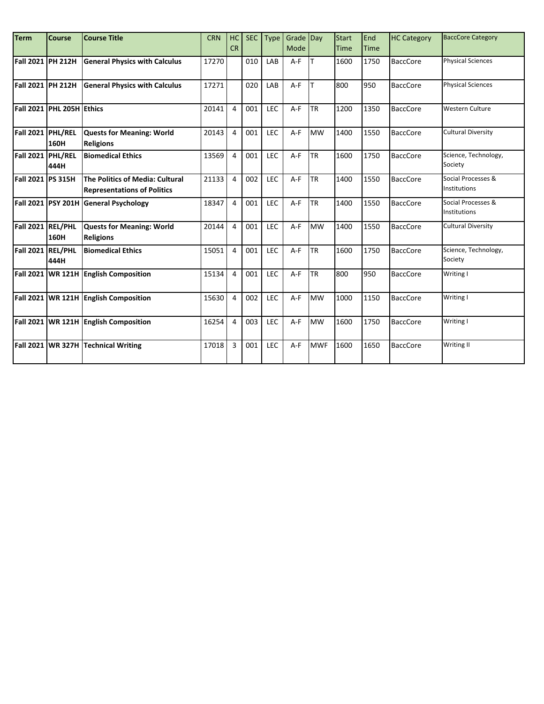| <b>Term</b>              | <b>Course</b>                    | <b>Course Title</b>                                                   | <b>CRN</b> | HC<br>CR       | <b>SEC</b> | <b>Type</b> | Grade Day<br>Mode |            | <b>Start</b><br>Time | End<br><b>Time</b> | <b>HC Category</b> | <b>BaccCore Category</b>           |
|--------------------------|----------------------------------|-----------------------------------------------------------------------|------------|----------------|------------|-------------|-------------------|------------|----------------------|--------------------|--------------------|------------------------------------|
| Fall 2021   PH 212H      |                                  | <b>General Physics with Calculus</b>                                  | 17270      |                | 010        | LAB         | $A-F$             | lτ         | 1600                 | 1750               | <b>BaccCore</b>    | <b>Physical Sciences</b>           |
| Fall 2021 PH 212H        |                                  | <b>General Physics with Calculus</b>                                  | 17271      |                | 020        | LAB         | A-F               |            | 800                  | 950                | <b>BaccCore</b>    | <b>Physical Sciences</b>           |
|                          | <b>Fall 2021 PHL 205H Ethics</b> |                                                                       | 20141      | $\overline{4}$ | 001        | <b>LEC</b>  | $A-F$             | <b>TR</b>  | 1200                 | 1350               | <b>BaccCore</b>    | <b>Western Culture</b>             |
| Fall 2021 PHL/REL        | 160H                             | <b>Quests for Meaning: World</b><br><b>Religions</b>                  | 20143      | $\overline{4}$ | 001        | LEC         | $A-F$             | <b>MW</b>  | 1400                 | 1550               | <b>BaccCore</b>    | <b>Cultural Diversity</b>          |
| Fall 2021 PHL/REL        | 444H                             | <b>Biomedical Ethics</b>                                              | 13569      | $\overline{4}$ | 001        | LEC         | $A-F$             | <b>TR</b>  | 1600                 | 1750               | <b>BaccCore</b>    | Science, Technology,<br>Society    |
| <b>Fall 2021 PS 315H</b> |                                  | The Politics of Media: Cultural<br><b>Representations of Politics</b> | 21133      | $\overline{4}$ | 002        | LEC         | $A-F$             | <b>TR</b>  | 1400                 | 1550               | <b>BaccCore</b>    | Social Processes &<br>Institutions |
|                          | Fall 2021 PSY 201H               | <b>General Psychology</b>                                             | 18347      | $\overline{4}$ | 001        | LEC         | $A-F$             | <b>TR</b>  | 1400                 | 1550               | <b>BaccCore</b>    | Social Processes &<br>Institutions |
| Fall 2021 REL/PHL        | 160H                             | <b>Quests for Meaning: World</b><br><b>Religions</b>                  | 20144      | $\overline{4}$ | 001        | LEC         | $A-F$             | <b>MW</b>  | 1400                 | 1550               | <b>BaccCore</b>    | <b>Cultural Diversity</b>          |
| Fall 2021 REL/PHL        | 444H                             | <b>Biomedical Ethics</b>                                              | 15051      | $\overline{4}$ | 001        | LEC         | $A-F$             | <b>TR</b>  | 1600                 | 1750               | <b>BaccCore</b>    | Science, Technology,<br>Society    |
| <b>Fall 2021</b>         | <b>WR121H</b>                    | <b>English Composition</b>                                            | 15134      | $\overline{4}$ | 001        | LEC         | $A-F$             | <b>TR</b>  | 800                  | 950                | <b>BaccCore</b>    | Writing I                          |
|                          |                                  | Fall 2021 WR 121H English Composition                                 | 15630      | $\overline{4}$ | 002        | LEC         | $A-F$             | <b>MW</b>  | 1000                 | 1150               | <b>BaccCore</b>    | Writing I                          |
|                          |                                  | Fall 2021 WR 121H English Composition                                 | 16254      | $\overline{4}$ | 003        | LEC         | $A-F$             | <b>MW</b>  | 1600                 | 1750               | <b>BaccCore</b>    | Writing I                          |
|                          | Fall 2021 WR 327H                | <b>Technical Writing</b>                                              | 17018      | $\overline{3}$ | 001        | LEC         | $A-F$             | <b>MWF</b> | 1600                 | 1650               | <b>BaccCore</b>    | <b>Writing II</b>                  |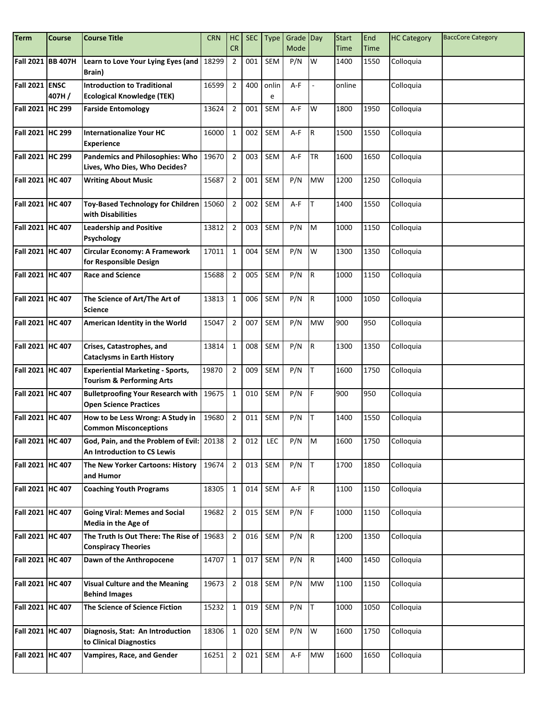| <b>Term</b>             | Course            | <b>Course Title</b>                                                             | <b>CRN</b> | HC                   | <b>SEC</b> | <b>Type</b> | Grade Day   |           | <b>Start</b> | End                 | <b>HC Category</b> | <b>BaccCore Category</b> |
|-------------------------|-------------------|---------------------------------------------------------------------------------|------------|----------------------|------------|-------------|-------------|-----------|--------------|---------------------|--------------------|--------------------------|
|                         | Fall 2021 BB 407H | Learn to Love Your Lying Eyes (and                                              | 18299      | CR<br>$\overline{2}$ | 001        | <b>SEM</b>  | Mode<br>P/N | W         | Time<br>1400 | <b>Time</b><br>1550 | Colloquia          |                          |
|                         |                   | <b>Brain</b> )                                                                  |            |                      |            |             |             |           |              |                     |                    |                          |
| Fall 2021 ENSC          |                   | <b>Introduction to Traditional</b>                                              | 16599      | $\overline{2}$       | 400        | onlin       | A-F         |           | online       |                     | Colloquia          |                          |
|                         | 407H/             | <b>Ecological Knowledge (TEK)</b>                                               |            |                      |            | e           |             |           |              |                     |                    |                          |
| Fall 2021 HC 299        |                   | <b>Farside Entomology</b>                                                       | 13624      | $\overline{2}$       | 001        | <b>SEM</b>  | A-F         | W         | 1800         | 1950                | Colloquia          |                          |
| Fall 2021 HC 299        |                   | <b>Internationalize Your HC</b>                                                 | 16000      | $\mathbf{1}$         | 002        | <b>SEM</b>  | A-F         | R.        | 1500         | 1550                | Colloquia          |                          |
|                         |                   | <b>Experience</b>                                                               |            |                      |            |             |             |           |              |                     |                    |                          |
| Fall 2021 HC 299        |                   | <b>Pandemics and Philosophies: Who</b><br>Lives, Who Dies, Who Decides?         | 19670      | $\overline{2}$       | 003        | <b>SEM</b>  | A-F         | <b>TR</b> | 1600         | 1650                | Colloquia          |                          |
| Fall 2021 HC 407        |                   | <b>Writing About Music</b>                                                      | 15687      | $\overline{2}$       | 001        | <b>SEM</b>  | P/N         | <b>MW</b> | 1200         | 1250                | Colloquia          |                          |
| Fall 2021 HC 407        |                   | Toy-Based Technology for Children 15060<br>with Disabilities                    |            | $\overline{2}$       | 002        | SEM         | A-F         | IT.       | 1400         | 1550                | Colloquia          |                          |
| Fall 2021 HC 407        |                   | <b>Leadership and Positive</b><br><b>Psychology</b>                             | 13812      | $\overline{2}$       | 003        | <b>SEM</b>  | P/N         | M         | 1000         | 1150                | Colloquia          |                          |
| Fall 2021 HC 407        |                   | Circular Economy: A Framework<br>for Responsible Design                         | 17011      | $\mathbf{1}$         | 004        | <b>SEM</b>  | P/N         | W         | 1300         | 1350                | Colloquia          |                          |
| Fall 2021 HC 407        |                   | <b>Race and Science</b>                                                         | 15688      | $\overline{2}$       | 005        | <b>SEM</b>  | P/N         | IR.       | 1000         | 1150                | Colloquia          |                          |
| Fall 2021 HC 407        |                   | The Science of Art/The Art of<br><b>Science</b>                                 | 13813      | $\mathbf{1}$         | 006        | <b>SEM</b>  | P/N         | R.        | 1000         | 1050                | Colloquia          |                          |
| Fall 2021 HC 407        |                   | American Identity in the World                                                  | 15047      | $\overline{2}$       | 007        | <b>SEM</b>  | P/N         | <b>MW</b> | 900          | 950                 | Colloquia          |                          |
| Fall 2021 HC 407        |                   | Crises, Catastrophes, and<br><b>Cataclysms in Earth History</b>                 | 13814      | $\mathbf{1}$         | 008        | <b>SEM</b>  | P/N         | IR.       | 1300         | 1350                | Colloquia          |                          |
| Fall 2021 HC 407        |                   | <b>Experiential Marketing - Sports,</b><br><b>Tourism &amp; Performing Arts</b> | 19870      | $\overline{2}$       | 009        | <b>SEM</b>  | P/N         | Iт.       | 1600         | 1750                | Colloquia          |                          |
| Fall 2021 HC 407        |                   | <b>Bulletproofing Your Research with</b><br><b>Open Science Practices</b>       | 19675      | $\mathbf{1}$         | 010        | <b>SEM</b>  | P/N         | IF.       | 900          | 950                 | Colloquia          |                          |
| Fall 2021 HC 407        |                   | How to be Less Wrong: A Study in<br><b>Common Misconceptions</b>                | 19680      | $\overline{2}$       | 011        | <b>SEM</b>  | P/N         | IT.       | 1400         | 1550                | Colloquia          |                          |
| <b>Fall 2021 HC 407</b> |                   | God, Pain, and the Problem of Evil:<br>An Introduction to CS Lewis              | 20138      | $\overline{2}$       | 012        | LEC         | P/N         | <b>M</b>  | 1600         | 1750                | Colloquia          |                          |
| Fall 2021 HC 407        |                   | The New Yorker Cartoons: History<br>and Humor                                   | 19674      | $\overline{2}$       | 013        | SEM         | P/N         | Iт        | 1700         | 1850                | Colloquia          |                          |
| Fall 2021 HC 407        |                   | <b>Coaching Youth Programs</b>                                                  | 18305      | $\mathbf{1}$         | 014        | SEM         | $A-F$       | R.        | 1100         | 1150                | Colloquia          |                          |
| Fall 2021 HC 407        |                   | <b>Going Viral: Memes and Social</b><br><b>Media in the Age of</b>              | 19682      | $\overline{2}$       | 015        | SEM         | P/N         | IF.       | 1000         | 1150                | Colloquia          |                          |
| Fall 2021 HC 407        |                   | The Truth Is Out There: The Rise of<br><b>Conspiracy Theories</b>               | 19683      | $\overline{2}$       | 016        | <b>SEM</b>  | P/N         | R         | 1200         | 1350                | Colloquia          |                          |
| Fall 2021 HC 407        |                   | Dawn of the Anthropocene                                                        | 14707      | $\mathbf{1}$         | 017        | SEM         | P/N         | R         | 1400         | 1450                | Colloquia          |                          |
| Fall 2021 HC 407        |                   | <b>Visual Culture and the Meaning</b><br><b>Behind Images</b>                   | 19673      | $\overline{2}$       | 018        | SEM         | P/N         | <b>MW</b> | 1100         | 1150                | Colloquia          |                          |
| Fall 2021 HC 407        |                   | The Science of Science Fiction                                                  | 15232      | $\mathbf 1$          | 019        | SEM         | P/N         | Iт.       | 1000         | 1050                | Colloquia          |                          |
| Fall 2021 HC 407        |                   | Diagnosis, Stat: An Introduction<br>to Clinical Diagnostics                     | 18306      | $\mathbf 1$          | 020        | SEM         | P/N         | W         | 1600         | 1750                | Colloquia          |                          |
| Fall 2021 HC 407        |                   | Vampires, Race, and Gender                                                      | 16251      | $\overline{2}$       | 021        | SEM         | A-F         | <b>MW</b> | 1600         | 1650                | Colloquia          |                          |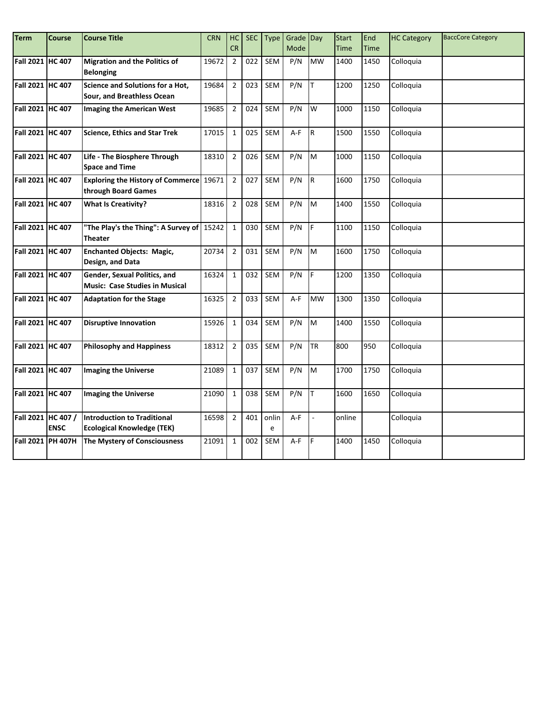| Term               | <b>Course</b>       | <b>Course Title</b>                                                     | <b>CRN</b> | HC             | <b>SEC</b> | <b>Type</b> | Grade Day |           | <b>Start</b> | End         | <b>HC Category</b> | <b>BaccCore Category</b> |
|--------------------|---------------------|-------------------------------------------------------------------------|------------|----------------|------------|-------------|-----------|-----------|--------------|-------------|--------------------|--------------------------|
|                    |                     |                                                                         |            | <b>CR</b>      |            |             | Mode      |           | <b>Time</b>  | <b>Time</b> |                    |                          |
| Fall 2021 HC 407   |                     | <b>Migration and the Politics of</b><br><b>Belonging</b>                | 19672      | $\overline{2}$ | 022        | SEM         | P/N       | <b>MW</b> | 1400         | 1450        | Colloquia          |                          |
| Fall 2021 HC 407   |                     | <b>Science and Solutions for a Hot,</b><br>Sour, and Breathless Ocean   | 19684      | $\overline{2}$ | 023        | SEM         | P/N       | Iт.       | 1200         | 1250        | Colloquia          |                          |
| Fall 2021 HC 407   |                     | <b>Imaging the American West</b>                                        | 19685      | $\overline{2}$ | 024        | SEM         | P/N       | W         | 1000         | 1150        | Colloquia          |                          |
| Fall 2021 HC 407   |                     | <b>Science, Ethics and Star Trek</b>                                    | 17015      | $\mathbf{1}$   | 025        | SEM         | A-F       | IR.       | 1500         | 1550        | Colloquia          |                          |
| Fall 2021 HC 407   |                     | Life - The Biosphere Through<br><b>Space and Time</b>                   | 18310      | $\overline{2}$ | 026        | SEM         | P/N       | M         | 1000         | 1150        | Colloquia          |                          |
| Fall 2021 HC 407   |                     | <b>Exploring the History of Commerce</b><br>through Board Games         | 19671      | $\overline{2}$ | 027        | SEM         | P/N       | R         | 1600         | 1750        | Colloquia          |                          |
| Fall 2021 HC 407   |                     | <b>What Is Creativity?</b>                                              | 18316      | $\overline{2}$ | 028        | SEM         | P/N       | M         | 1400         | 1550        | Colloquia          |                          |
| Fall 2021 HC 407   |                     | "The Play's the Thing": A Survey of $\vert$ 15242<br><b>Theater</b>     |            | $\mathbf{1}$   | 030        | SEM         | P/N       | IF.       | 1100         | 1150        | Colloquia          |                          |
| Fall 2021 HC 407   |                     | <b>Enchanted Objects: Magic,</b><br>Design, and Data                    | 20734      | $\overline{2}$ | 031        | SEM         | P/N       | M         | 1600         | 1750        | Colloquia          |                          |
| Fall 2021 HC 407   |                     | Gender, Sexual Politics, and<br><b>Music: Case Studies in Musical</b>   | 16324      | $\mathbf 1$    | 032        | SEM         | P/N       | F         | 1200         | 1350        | Colloquia          |                          |
| Fall 2021 HC 407   |                     | <b>Adaptation for the Stage</b>                                         | 16325      | $\overline{2}$ | 033        | SEM         | A-F       | <b>MW</b> | 1300         | 1350        | Colloquia          |                          |
| Fall 2021 HC 407   |                     | <b>Disruptive Innovation</b>                                            | 15926      | $\mathbf{1}$   | 034        | SEM         | P/N       | M         | 1400         | 1550        | Colloquia          |                          |
| Fall 2021 HC 407   |                     | <b>Philosophy and Happiness</b>                                         | 18312      | $\overline{2}$ | 035        | <b>SEM</b>  | P/N       | <b>TR</b> | 800          | 950         | Colloquia          |                          |
| Fall 2021 HC 407   |                     | <b>Imaging the Universe</b>                                             | 21089      | $\mathbf{1}$   | 037        | SEM         | P/N       | M         | 1700         | 1750        | Colloquia          |                          |
| Fall 2021 HC 407   |                     | <b>Imaging the Universe</b>                                             | 21090      | $\mathbf 1$    | 038        | SEM         | P/N       | lT.       | 1600         | 1650        | Colloquia          |                          |
| Fall 2021 HC 407 / | <b>ENSC</b>         | <b>Introduction to Traditional</b><br><b>Ecological Knowledge (TEK)</b> | 16598      | $\overline{2}$ | 401        | onlin<br>e  | $A-F$     |           | online       |             | Colloquia          |                          |
|                    | Fall 2021   PH 407H | The Mystery of Consciousness                                            | 21091      | $1\,$          | 002        | SEM         | A-F       | F         | 1400         | 1450        | Colloquia          |                          |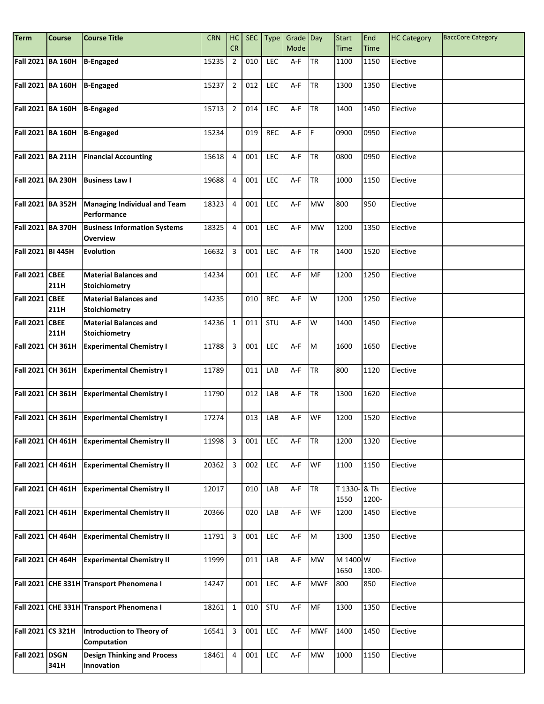| <b>Term</b>           | <b>Course</b>     | <b>Course Title</b>                                    | <b>CRN</b> | HC                      | <b>SEC</b> | Type       | Grade Day |             | <b>Start</b>         | End         | <b>HC Category</b> | <b>BaccCore Category</b> |
|-----------------------|-------------------|--------------------------------------------------------|------------|-------------------------|------------|------------|-----------|-------------|----------------------|-------------|--------------------|--------------------------|
|                       |                   |                                                        |            | CR                      |            |            | Mode      |             | Time                 | <b>Time</b> |                    |                          |
|                       | Fall 2021 BA 160H | <b>B-Engaged</b>                                       | 15235      | $\overline{2}$          | 010        | LEC        | $A-F$     | <b>TR</b>   | 1100                 | 1150        | Elective           |                          |
|                       | Fall 2021 BA 160H | <b>B-Engaged</b>                                       | 15237      | $\overline{2}$          | 012        | LEC        | A-F       | <b>TR</b>   | 1300                 | 1350        | Elective           |                          |
|                       | Fall 2021 BA 160H | <b>B-Engaged</b>                                       | 15713      | $\overline{2}$          | 014        | LEC        | A-F       | <b>TR</b>   | 1400                 | 1450        | Elective           |                          |
|                       | Fall 2021 BA 160H | <b>B-Engaged</b>                                       | 15234      |                         | 019        | <b>REC</b> | A-F       | IF.         | 0900                 | 0950        | Elective           |                          |
|                       | Fall 2021 BA 211H | <b>Financial Accounting</b>                            | 15618      | $\overline{4}$          | 001        | LEC        | A-F       | <b>TR</b>   | 0800                 | 0950        | Elective           |                          |
|                       | Fall 2021 BA 230H | <b>Business Law I</b>                                  | 19688      | $\overline{4}$          | 001        | LEC        | A-F       | <b>TR</b>   | 1000                 | 1150        | Elective           |                          |
|                       | Fall 2021 BA 352H | <b>Managing Individual and Team</b><br>Performance     | 18323      | $\overline{4}$          | 001        | <b>LEC</b> | A-F       | <b>MW</b>   | 800                  | 950         | Elective           |                          |
|                       | Fall 2021 BA 370H | <b>Business Information Systems</b><br><b>Overview</b> | 18325      | $\overline{4}$          | 001        | LEC        | A-F       | <b>MW</b>   | 1200                 | 1350        | Elective           |                          |
| Fall 2021 BI 445H     |                   | Evolution                                              | 16632      | $\overline{3}$          | 001        | LEC        | A-F       | <b>I</b> TR | 1400                 | 1520        | Elective           |                          |
| <b>Fall 2021 CBEE</b> | 211H              | <b>Material Balances and</b><br><b>Stoichiometry</b>   | 14234      |                         | 001        | LEC        | A-F       | MF          | 1200                 | 1250        | Elective           |                          |
| <b>Fall 2021 CBEE</b> | 211H              | <b>Material Balances and</b><br><b>Stoichiometry</b>   | 14235      |                         | 010        | <b>REC</b> | A-F       | W           | 1200                 | 1250        | Elective           |                          |
| <b>Fall 2021 CBEE</b> | 211H              | <b>Material Balances and</b><br>Stoichiometry          | 14236      | $\mathbf{1}$            | 011        | STU        | A-F       | W           | 1400                 | 1450        | Elective           |                          |
|                       | Fall 2021 CH 361H | <b>Experimental Chemistry I</b>                        | 11788      | $\overline{3}$          | 001        | LEC        | A-F       | M           | 1600                 | 1650        | Elective           |                          |
|                       | Fall 2021 CH 361H | <b>Experimental Chemistry I</b>                        | 11789      |                         | 011        | LAB        | $A-F$     | <b>TR</b>   | 800                  | 1120        | Elective           |                          |
|                       | Fall 2021 CH 361H | <b>Experimental Chemistry I</b>                        | 11790      |                         | 012        | LAB        | A-F       | <b>TR</b>   | 1300                 | 1620        | Elective           |                          |
|                       | Fall 2021 CH 361H | <b>Experimental Chemistry I</b>                        | 17274      |                         | 013        | LAB        | A-F       | <b>WF</b>   | 1200                 | 1520        | Elective           |                          |
|                       | Fall 2021 CH 461H | <b>Experimental Chemistry II</b>                       | 11998      | $\overline{\mathbf{3}}$ | 001        | LEC        | A-F       | <b>TR</b>   | 1200                 | 1320        | Elective           |                          |
|                       | Fall 2021 CH 461H | <b>Experimental Chemistry II</b>                       | 20362      | $\overline{3}$          | 002        | LEC        | $A-F$     | <b>WF</b>   | 1100                 | 1150        | Elective           |                          |
|                       | Fall 2021 CH 461H | <b>Experimental Chemistry II</b>                       | 12017      |                         | 010        | LAB        | $A-F$     | <b>TR</b>   | T 1330- & Th<br>1550 | 1200-       | Elective           |                          |
|                       | Fall 2021 CH 461H | <b>Experimental Chemistry II</b>                       | 20366      |                         | 020        | LAB        | A-F       | <b>WF</b>   | 1200                 | 1450        | Elective           |                          |
|                       | Fall 2021 CH 464H | <b>Experimental Chemistry II</b>                       | 11791      | $\overline{3}$          | 001        | LEC        | $A-F$     | M           | 1300                 | 1350        | Elective           |                          |
|                       | Fall 2021 CH 464H | <b>Experimental Chemistry II</b>                       | 11999      |                         | 011        | LAB        | $A-F$     | <b>MW</b>   | M 1400 W<br>1650     | 1300-       | Elective           |                          |
|                       |                   | Fall 2021 CHE 331H Transport Phenomena I               | 14247      |                         | 001        | LEC        | A-F       | <b>MWF</b>  | 800                  | 850         | Elective           |                          |
|                       |                   | Fall 2021 CHE 331H Transport Phenomena I               | 18261      | $\mathbf 1$             | 010        | STU        | A-F       | MF          | 1300                 | 1350        | Elective           |                          |
| Fall 2021 CS 321H     |                   | Introduction to Theory of<br>Computation               | 16541      | $\mathbf{3}$            | 001        | LEC        | A-F       | <b>MWF</b>  | 1400                 | 1450        | Elective           |                          |
| Fall 2021 DSGN        | 341H              | <b>Design Thinking and Process</b><br>Innovation       | 18461      | $\overline{\mathbf{4}}$ | 001        | LEC        | $A-F$     | <b>MW</b>   | 1000                 | 1150        | Elective           |                          |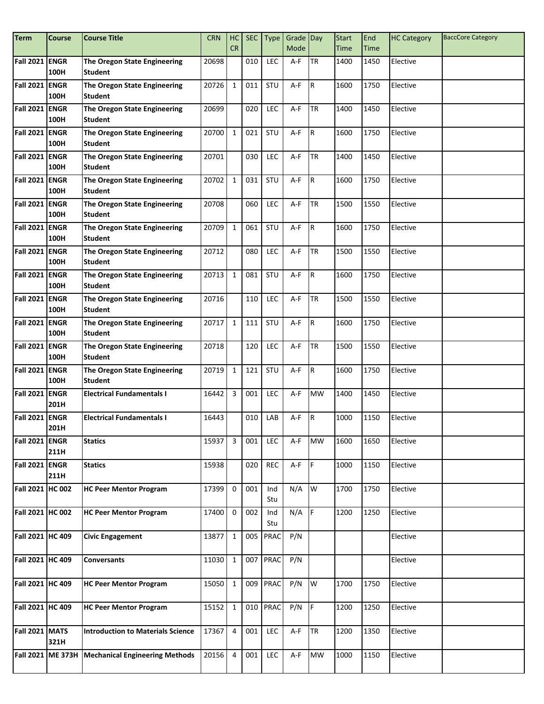| <b>Term</b>           | <b>Course</b>       | <b>Course Title</b>                                   | <b>CRN</b> | HC             | <b>SEC</b> | Type        | Grade Day |             | <b>Start</b> | End  | <b>HC Category</b> | <b>BaccCore Category</b> |
|-----------------------|---------------------|-------------------------------------------------------|------------|----------------|------------|-------------|-----------|-------------|--------------|------|--------------------|--------------------------|
|                       |                     |                                                       |            | <b>CR</b>      |            |             | Mode      |             | Time         | Time |                    |                          |
| Fall 2021 ENGR        | 100H                | The Oregon State Engineering<br><b>Student</b>        | 20698      |                | 010        | LEC         | A-F       | <b>TR</b>   | 1400         | 1450 | Elective           |                          |
| Fall 2021 ENGR        | 100H                | The Oregon State Engineering<br>Student               | 20726      | $\mathbf{1}$   | 011        | STU         | A-F       | IR.         | 1600         | 1750 | Elective           |                          |
| <b>Fall 2021</b>      | <b>ENGR</b><br>100H | The Oregon State Engineering<br><b>Student</b>        | 20699      |                | 020        | LEC         | A-F       | <b>TR</b>   | 1400         | 1450 | Elective           |                          |
| Fall 2021 ENGR        | 100H                | The Oregon State Engineering<br><b>Student</b>        | 20700      | $\mathbf{1}$   | 021        | STU         | A-F       | R.          | 1600         | 1750 | Elective           |                          |
| Fall 2021 ENGR        | 100H                | The Oregon State Engineering<br><b>Student</b>        | 20701      |                | 030        | <b>LEC</b>  | A-F       | <b>TR</b>   | 1400         | 1450 | Elective           |                          |
| Fall 2021 ENGR        | 100H                | The Oregon State Engineering<br><b>Student</b>        | 20702      | $\mathbf{1}$   | 031        | STU         | A-F       | IR.         | 1600         | 1750 | Elective           |                          |
| Fall 2021 ENGR        | 100H                | <b>The Oregon State Engineering</b><br><b>Student</b> | 20708      |                | 060        | <b>LEC</b>  | A-F       | <b>TR</b>   | 1500         | 1550 | Elective           |                          |
| <b>Fall 2021 ENGR</b> | 100H                | The Oregon State Engineering<br><b>Student</b>        | 20709      | $\mathbf{1}$   | 061        | STU         | A-F       | R           | 1600         | 1750 | Elective           |                          |
| Fall 2021 ENGR        | 100H                | The Oregon State Engineering<br><b>Student</b>        | 20712      |                | 080        | <b>LEC</b>  | A-F       | <b>ITR</b>  | 1500         | 1550 | Elective           |                          |
| Fall 2021 ENGR        | 100H                | The Oregon State Engineering<br><b>Student</b>        | 20713      | $\mathbf{1}$   | 081        | STU         | A-F       | IR.         | 1600         | 1750 | Elective           |                          |
| Fall 2021 ENGR        | 100H                | The Oregon State Engineering<br><b>Student</b>        | 20716      |                | 110        | LEC         | A-F       | <b>TR</b>   | 1500         | 1550 | Elective           |                          |
| <b>Fall 2021</b>      | <b>ENGR</b><br>100H | The Oregon State Engineering<br><b>Student</b>        | 20717      | $\mathbf{1}$   | 111        | STU         | A-F       | R.          | 1600         | 1750 | Elective           |                          |
| <b>Fall 2021 ENGR</b> | 100H                | The Oregon State Engineering<br><b>Student</b>        | 20718      |                | 120        | LEC         | A-F       | <b>TR</b>   | 1500         | 1550 | Elective           |                          |
| Fall 2021 ENGR        | 100H                | The Oregon State Engineering<br><b>Student</b>        | 20719      | $\mathbf{1}$   | 121        | STU         | A-F       | IR.         | 1600         | 1750 | Elective           |                          |
| <b>Fall 2021 ENGR</b> | 201H                | <b>Electrical Fundamentals I</b>                      | 16442      | 3              | 001        | LEC         | A-F       | <b>MW</b>   | 1400         | 1450 | Elective           |                          |
| <b>Fall 2021</b>      | <b>ENGR</b><br>201H | <b>Electrical Fundamentals I</b>                      | 16443      |                | 010        | LAB         | A-F       | R           | 1000         | 1150 | Elective           |                          |
| Fall 2021 ENGR        | 211H                | <b>Statics</b>                                        | 15937      | 3              | 001        | LEC         | A-F       | <b>MW</b>   | 1600         | 1650 | Elective           |                          |
| Fall 2021 ENGR        | 211H                | <b>Statics</b>                                        | 15938      |                | 020        | <b>REC</b>  | $A-F$     | I۴          | 1000         | 1150 | Elective           |                          |
| Fall 2021 HC 002      |                     | <b>HC Peer Mentor Program</b>                         | 17399      | $\mathbf 0$    | 001        | Ind<br>Stu  | N/A       | W           | 1700         | 1750 | Elective           |                          |
| Fall 2021 HC 002      |                     | <b>HC Peer Mentor Program</b>                         | 17400      | $\mathsf 0$    | 002        | Ind<br>Stu  | $N/A$ F   |             | 1200         | 1250 | Elective           |                          |
| Fall 2021 HC 409      |                     | <b>Civic Engagement</b>                               | 13877      | $\mathbf 1$    | 005        | <b>PRAC</b> | P/N       |             |              |      | Elective           |                          |
| Fall 2021 HC 409      |                     | <b>Conversants</b>                                    | 11030      | $\mathbf{1}$   |            | 007 PRAC    | P/N       |             |              |      | Elective           |                          |
| Fall 2021 HC 409      |                     | <b>HC Peer Mentor Program</b>                         | 15050      | $\mathbf{1}$   | 009        | PRAC        | P/N       | W           | 1700         | 1750 | Elective           |                          |
| Fall 2021 HC 409      |                     | <b>HC Peer Mentor Program</b>                         | 15152      | $\mathbf{1}$   |            | 010 PRAC    | P/N       | $\mathsf F$ | 1200         | 1250 | Elective           |                          |
| Fall 2021 MATS        | 321H                | <b>Introduction to Materials Science</b>              | 17367      | $\overline{4}$ | 001        | LEC         | A-F       | <b>TR</b>   | 1200         | 1350 | Elective           |                          |
|                       |                     | Fall 2021   ME 373H   Mechanical Engineering Methods  | 20156      | $\overline{4}$ | 001        | LEC         | $A-F$     | <b>MW</b>   | 1000         | 1150 | Elective           |                          |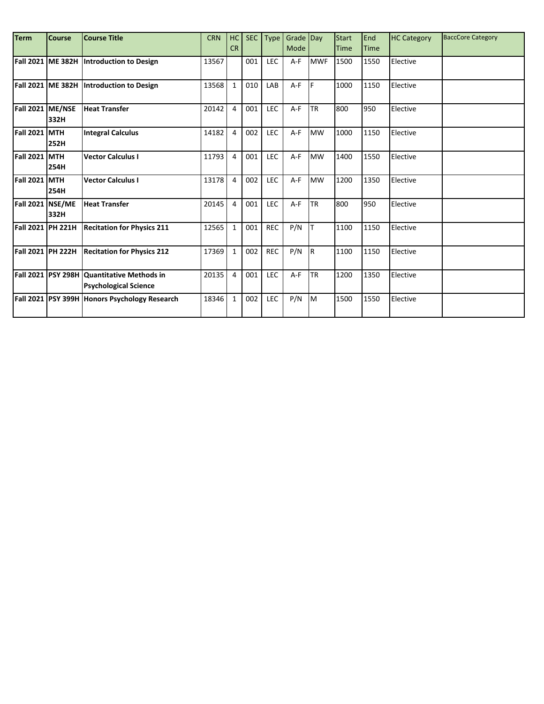| <b>Term</b>        | <b>Course</b> | <b>Course Title</b>                                                        | <b>CRN</b> | HC             | <b>SEC</b> | <b>Type</b> | Grade Day |             | <b>Start</b> | End  | <b>HC Category</b> | <b>BaccCore Category</b> |
|--------------------|---------------|----------------------------------------------------------------------------|------------|----------------|------------|-------------|-----------|-------------|--------------|------|--------------------|--------------------------|
|                    |               |                                                                            |            | <b>CR</b>      |            |             | Mode      |             | <b>Time</b>  | Time |                    |                          |
|                    |               | Fall 2021 ME 382H Introduction to Design                                   | 13567      |                | 001        | LEC         | $A-F$     | <b>MWF</b>  | 1500         | 1550 | Elective           |                          |
|                    |               | Fall 2021 ME 382H Introduction to Design                                   | 13568      | $\mathbf{1}$   | 010        | LAB         | $A-F$     | I۴          | 1000         | 1150 | Elective           |                          |
| Fall 2021 ME/NSE   | 332H          | <b>Heat Transfer</b>                                                       | 20142      | $\overline{4}$ | 001        | LEC         | $A-F$     | <b>I</b> TR | 800          | 950  | Elective           |                          |
| Fall 2021 MTH      | 252H          | <b>Integral Calculus</b>                                                   | 14182      | 4              | 002        | LEC         | $A-F$     | <b>MW</b>   | 1000         | 1150 | Elective           |                          |
| Fall 2021 MTH      | 254H          | <b>Vector Calculus I</b>                                                   | 11793      | $\overline{4}$ | 001        | <b>LEC</b>  | $A-F$     | <b>MW</b>   | 1400         | 1550 | Elective           |                          |
| Fall 2021 MTH      | 254H          | <b>Vector Calculus I</b>                                                   | 13178      | $\overline{4}$ | 002        | <b>LEC</b>  | $A-F$     | <b>MW</b>   | 1200         | 1350 | Elective           |                          |
| Fall 2021 NSE/ME   | 332H          | <b>Heat Transfer</b>                                                       | 20145      | $\overline{4}$ | 001        | LEC         | $A-F$     | <b>I</b> TR | 800          | 950  | Elective           |                          |
| Fall 2021  PH 221H |               | <b>Recitation for Physics 211</b>                                          | 12565      | $\mathbf{1}$   | 001        | <b>REC</b>  | P/N       | Iт          | 1100         | 1150 | Elective           |                          |
| Fall 2021  PH 222H |               | <b>Recitation for Physics 212</b>                                          | 17369      | $\mathbf{1}$   | 002        | <b>REC</b>  | P/N       | IR.         | 1100         | 1150 | Elective           |                          |
|                    |               | Fall 2021 PSY 298H Quantitative Methods in<br><b>Psychological Science</b> | 20135      | 4              | 001        | LEC         | $A-F$     | <b>I</b> TR | 1200         | 1350 | Elective           |                          |
|                    |               | Fall 2021   PSY 399H   Honors Psychology Research                          | 18346      | $1\,$          | 002        | <b>LEC</b>  | P/N       | IM.         | 1500         | 1550 | Elective           |                          |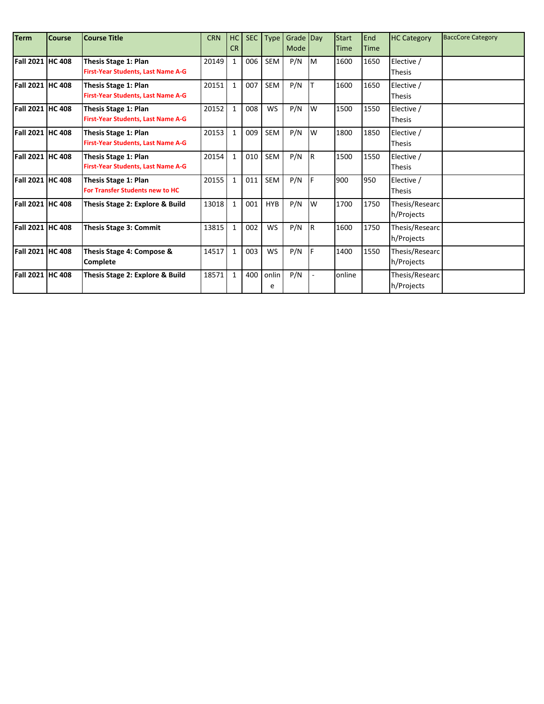| <b>Term</b>      | <b>Course</b> | <b>Course Title</b>                       | <b>CRN</b> | HC           | <b>SEC</b> | Type       | Grade Day |     | <b>Start</b> | End         | <b>HC Category</b> | <b>BaccCore Category</b> |
|------------------|---------------|-------------------------------------------|------------|--------------|------------|------------|-----------|-----|--------------|-------------|--------------------|--------------------------|
|                  |               |                                           |            | <b>CR</b>    |            |            | Mode      |     | Time         | <b>Time</b> |                    |                          |
| Fall 2021 HC 408 |               | Thesis Stage 1: Plan                      | 20149      | $\mathbf{1}$ | 006        | <b>SEM</b> | P/N       | Iм  | 1600         | 1650        | Elective /         |                          |
|                  |               | First-Year Students, Last Name A-G        |            |              |            |            |           |     |              |             | <b>Thesis</b>      |                          |
| Fall 2021 HC 408 |               | Thesis Stage 1: Plan                      | 20151      | $\mathbf{1}$ | 007        | SEM        | P/N       |     | 1600         | 1650        | Elective /         |                          |
|                  |               | First-Year Students, Last Name A-G        |            |              |            |            |           |     |              |             | <b>Thesis</b>      |                          |
| Fall 2021 HC 408 |               | <b>Thesis Stage 1: Plan</b>               | 20152      | $\mathbf{1}$ | 008        | <b>WS</b>  | P/N       | W   | 1500         | 1550        | Elective /         |                          |
|                  |               | First-Year Students, Last Name A-G        |            |              |            |            |           |     |              |             | <b>Thesis</b>      |                          |
| Fall 2021 HC 408 |               | Thesis Stage 1: Plan                      | 20153      | $\mathbf{1}$ | 009        | SEM        | P/N       | W   | 1800         | 1850        | Elective /         |                          |
|                  |               | <b>First-Year Students, Last Name A-G</b> |            |              |            |            |           |     |              |             | <b>Thesis</b>      |                          |
| Fall 2021 HC 408 |               | Thesis Stage 1: Plan                      | 20154      | $\mathbf{1}$ | 010        | SEM        | P/N       | IR. | 1500         | 1550        | Elective /         |                          |
|                  |               | First-Year Students, Last Name A-G        |            |              |            |            |           |     |              |             | <b>Thesis</b>      |                          |
| Fall 2021 HC 408 |               | Thesis Stage 1: Plan                      | 20155      | $\mathbf{1}$ | 011        | SEM        | P/N       |     | 900          | 950         | Elective /         |                          |
|                  |               | <b>For Transfer Students new to HC</b>    |            |              |            |            |           |     |              |             | <b>Thesis</b>      |                          |
| Fall 2021 HC 408 |               | Thesis Stage 2: Explore & Build           | 13018      | $\mathbf{1}$ | 001        | <b>HYB</b> | P/N       | W   | 1700         | 1750        | Thesis/Researc     |                          |
|                  |               |                                           |            |              |            |            |           |     |              |             | h/Projects         |                          |
| Fall 2021 HC 408 |               | <b>Thesis Stage 3: Commit</b>             | 13815      | $\mathbf{1}$ | 002        | <b>WS</b>  | P/N       | IR. | 1600         | 1750        | Thesis/Researc     |                          |
|                  |               |                                           |            |              |            |            |           |     |              |             | h/Projects         |                          |
| Fall 2021 HC 408 |               | Thesis Stage 4: Compose &                 | 14517      | $\mathbf{1}$ | 003        | <b>WS</b>  | P/N       | IF. | 1400         | 1550        | Thesis/Researc     |                          |
|                  |               | <b>Complete</b>                           |            |              |            |            |           |     |              |             | h/Projects         |                          |
| Fall 2021 HC 408 |               | Thesis Stage 2: Explore & Build           | 18571      | $\mathbf{1}$ | 400        | onlin      | P/N       |     | online       |             | Thesis/Researc     |                          |
|                  |               |                                           |            |              |            | e          |           |     |              |             | h/Projects         |                          |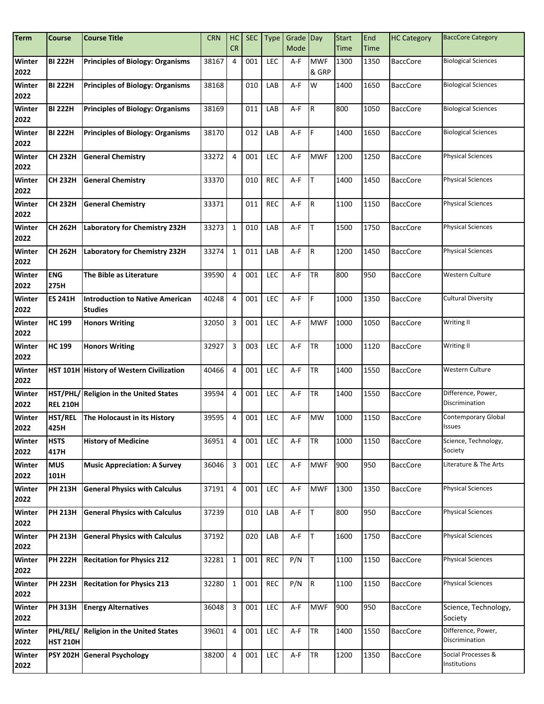| <b>Term</b>    | <b>Course</b>       | <b>Course Title</b>                                      | <b>CRN</b> | HC                      | <b>SEC</b> | <b>Type</b> | Grade Day |                     | <b>Start</b> | End         | <b>HC Category</b> | <b>BaccCore Category</b>             |
|----------------|---------------------|----------------------------------------------------------|------------|-------------------------|------------|-------------|-----------|---------------------|--------------|-------------|--------------------|--------------------------------------|
|                |                     |                                                          |            | <b>CR</b>               |            |             | Mode      |                     | Time         | <b>Time</b> |                    |                                      |
| Winter<br>2022 | <b>BI 222H</b>      | <b>Principles of Biology: Organisms</b>                  | 38167      | 4                       | 001        | LEC         | A-F       | <b>MWF</b><br>& GRP | 1300         | 1350        | <b>BaccCore</b>    | <b>Biological Sciences</b>           |
| Winter<br>2022 | <b>BI 222H</b>      | <b>Principles of Biology: Organisms</b>                  | 38168      |                         | 010        | LAB         | A-F       | W                   | 1400         | 1650        | <b>BaccCore</b>    | <b>Biological Sciences</b>           |
| Winter<br>2022 | <b>BI 222H</b>      | <b>Principles of Biology: Organisms</b>                  | 38169      |                         | 011        | LAB         | A-F       | İВ.                 | 800          | 1050        | <b>BaccCore</b>    | <b>Biological Sciences</b>           |
| Winter<br>2022 | <b>BI 222H</b>      | <b>Principles of Biology: Organisms</b>                  | 38170      |                         | 012        | LAB         | A-F       | IF.                 | 1400         | 1650        | <b>BaccCore</b>    | <b>Biological Sciences</b>           |
| Winter<br>2022 | <b>CH 232H</b>      | <b>General Chemistry</b>                                 | 33272      | 4                       | 001        | <b>LEC</b>  | A-F       | <b>MWF</b>          | 1200         | 1250        | <b>BaccCore</b>    | <b>Physical Sciences</b>             |
| Winter<br>2022 | <b>CH 232H</b>      | <b>General Chemistry</b>                                 | 33370      |                         | 010        | <b>REC</b>  | A-F       | ΙT                  | 1400         | 1450        | <b>BaccCore</b>    | <b>Physical Sciences</b>             |
| Winter<br>2022 | <b>CH 232H</b>      | <b>General Chemistry</b>                                 | 33371      |                         | 011        | <b>REC</b>  | A-F       | Iв.                 | 1100         | 1150        | <b>BaccCore</b>    | <b>Physical Sciences</b>             |
| Winter<br>2022 | <b>CH 262H</b>      | Laboratory for Chemistry 232H                            | 33273      | $\mathbf{1}$            | 010        | LAB         | A-F       | lΤ                  | 1500         | 1750        | <b>BaccCore</b>    | <b>Physical Sciences</b>             |
| Winter<br>2022 | CH 262H             | Laboratory for Chemistry 232H                            | 33274      | $\mathbf{1}$            | 011        | LAB         | A-F       | IR.                 | 1200         | 1450        | <b>BaccCore</b>    | <b>Physical Sciences</b>             |
| Winter<br>2022 | <b>ENG</b><br>275H  | The Bible as Literature                                  | 39590      | 4                       | 001        | LEC         | $A-F$     | <b>TR</b>           | 800          | 950         | <b>BaccCore</b>    | Western Culture                      |
| Winter<br>2022 | <b>ES 241H</b>      | <b>Introduction to Native American</b><br><b>Studies</b> | 40248      | 4                       | 001        | <b>LEC</b>  | A-F       | lF.                 | 1000         | 1350        | <b>BaccCore</b>    | <b>Cultural Diversity</b>            |
| Winter<br>2022 | <b>HC 199</b>       | <b>Honors Writing</b>                                    | 32050      | 3                       | 001        | LEC         | A-F       | <b>MWF</b>          | 1000         | 1050        | <b>BaccCore</b>    | Writing II                           |
| Winter<br>2022 | <b>HC 199</b>       | <b>Honors Writing</b>                                    | 32927      | 3                       | 003        | <b>LEC</b>  | A-F       | <b>TR</b>           | 1000         | 1120        | <b>BaccCore</b>    | Writing II                           |
| Winter<br>2022 |                     | HST 101H History of Western Civilization                 | 40466      | $\overline{4}$          | 001        | <b>LEC</b>  | $A-F$     | <b>TR</b>           | 1400         | 1550        | <b>BaccCore</b>    | Western Culture                      |
| Winter<br>2022 | <b>REL 210H</b>     | HST/PHL/ Religion in the United States                   | 39594      | 4                       | 001        | <b>LEC</b>  | A-F       | <b>TR</b>           | 1400         | 1550        | <b>BaccCore</b>    | Difference, Power,<br>Discrimination |
| Winter<br>2022 | HST/REL<br>425H     | The Holocaust in its History                             | 39595      | $\overline{4}$          | 001        | LEC         | A-F       | <b>MW</b>           | 1000         | 1150        | <b>BaccCore</b>    | Contemporary Global<br>Issues        |
| Winter<br>2022 | <b>HSTS</b><br>417H | <b>History of Medicine</b>                               | 36951      | 4                       | 001        | LEC         | A-F       | <b>TR</b>           | 1000         | 1150        | <b>BaccCore</b>    | Science, Technology,<br>Society      |
| Winter<br>2022 | <b>MUS</b><br>101H  | <b>Music Appreciation: A Survey</b>                      | 36046      | 3                       | 001        | LEC         | A-F       | <b>MWF</b>          | 900          | 950         | <b>BaccCore</b>    | Literature & The Arts                |
| Winter<br>2022 | <b>PH 213H</b>      | <b>General Physics with Calculus</b>                     | 37191      | 4                       | 001        | <b>LEC</b>  | A-F       | <b>MWF</b>          | 1300         | 1350        | <b>BaccCore</b>    | <b>Physical Sciences</b>             |
| Winter<br>2022 | <b>PH 213H</b>      | <b>General Physics with Calculus</b>                     | 37239      |                         | 010        | LAB         | A-F       | T                   | 800          | 950         | <b>BaccCore</b>    | <b>Physical Sciences</b>             |
| Winter<br>2022 | <b>PH 213H</b>      | <b>General Physics with Calculus</b>                     | 37192      |                         | 020        | LAB         | A-F       | lT.                 | 1600         | 1750        | <b>BaccCore</b>    | <b>Physical Sciences</b>             |
| Winter<br>2022 | <b>PH 222H</b>      | <b>Recitation for Physics 212</b>                        | 32281      | $\mathbf{1}$            | 001        | <b>REC</b>  | P/N       | Iт                  | 1100         | 1150        | <b>BaccCore</b>    | <b>Physical Sciences</b>             |
| Winter<br>2022 | <b>PH 223H</b>      | <b>Recitation for Physics 213</b>                        | 32280      | $\mathbf{1}$            | 001        | <b>REC</b>  | P/N       | R.                  | 1100         | 1150        | <b>BaccCore</b>    | <b>Physical Sciences</b>             |
| Winter<br>2022 | <b>PH 313H</b>      | <b>Energy Alternatives</b>                               | 36048      | $\overline{\mathbf{3}}$ | 001        | <b>LEC</b>  | A-F       | <b>MWF</b>          | 900          | 950         | <b>BaccCore</b>    | Science, Technology,<br>Society      |
| Winter<br>2022 | <b>HST 210H</b>     | PHL/REL/ Religion in the United States                   | 39601      | 4                       | 001        | LEC         | A-F       | <b>TR</b>           | 1400         | 1550        | <b>BaccCore</b>    | Difference, Power,<br>Discrimination |
| Winter<br>2022 |                     | PSY 202H General Psychology                              | 38200      | 4                       | 001        | LEC         | A-F       | <b>TR</b>           | 1200         | 1350        | <b>BaccCore</b>    | Social Processes &<br>Institutions   |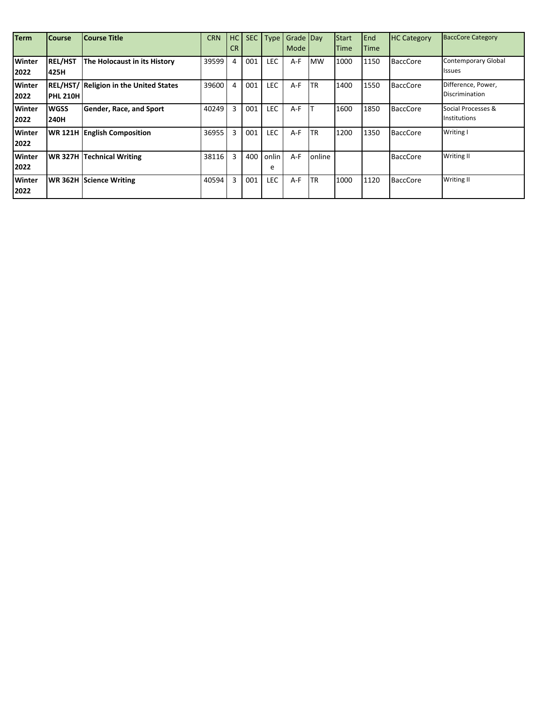| <b>Term</b>           | <b>Course</b>          | <b>Course Title</b>                           | <b>CRN</b> | HC<br><b>CR</b> | <b>SEC</b> | <b>Type</b> | Grade Day<br>Mode |           | Start<br>Time | End<br><b>ITime</b> | <b>HC Category</b> | <b>BaccCore Category</b>                    |
|-----------------------|------------------------|-----------------------------------------------|------------|-----------------|------------|-------------|-------------------|-----------|---------------|---------------------|--------------------|---------------------------------------------|
| Winter<br>2022        | <b>REL/HST</b><br>425H | The Holocaust in its History                  | 39599      | 4               | 001        | LEC         | A-F               | <b>MW</b> | 1000          | 1150                | <b>BaccCore</b>    | <b>Contemporary Global</b><br><b>Issues</b> |
| <b>Winter</b><br>2022 | <b>PHL 210H</b>        | <b>REL/HST/ Religion in the United States</b> | 39600      | 4               | 001        | <b>LEC</b>  | $A-F$             | ΤR        | 1400          | 1550                | <b>BaccCore</b>    | Difference, Power,<br><b>Discrimination</b> |
| Winter<br>2022        | <b>WGSS</b><br>240H    | Gender, Race, and Sport                       | 40249      | 3               | 001        | <b>LEC</b>  | $A-F$             |           | 1600          | 1850                | <b>BaccCore</b>    | Social Processes &<br>Institutions          |
| <b>Winter</b><br>2022 |                        | <b>WR 121H English Composition</b>            | 36955      | 3               | 001        | LEC         | $A-F$             | TR        | 1200          | 1350                | <b>BaccCore</b>    | Writing I                                   |
| <b>Winter</b><br>2022 |                        | <b>WR 327H Technical Writing</b>              | 38116      | 3               | 400        | onlin<br>e  | $A-F$             | online    |               |                     | <b>BaccCore</b>    | Writing II                                  |
| <b>Winter</b><br>2022 |                        | <b>WR 362H Science Writing</b>                | 40594      | 3               | 001        | <b>LEC</b>  | $A-F$             | TR        | 1000          | 1120                | <b>BaccCore</b>    | Writing II                                  |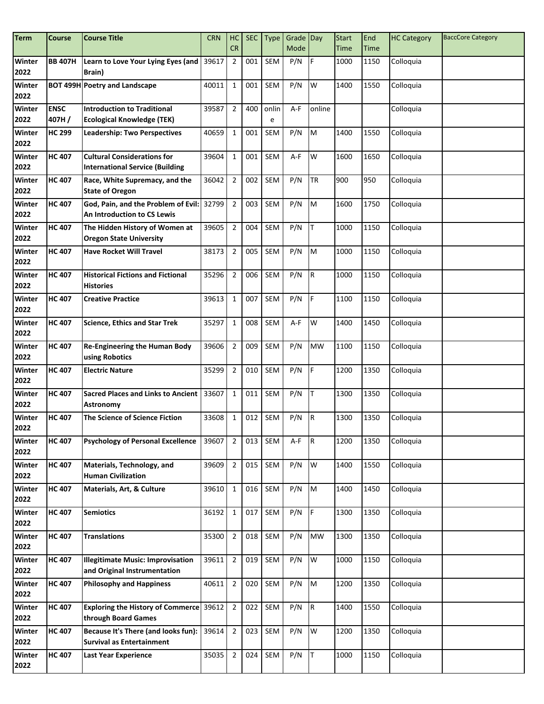| <b>Term</b>    | Course         | <b>Course Title</b>                                                          | <b>CRN</b> | HC             | <b>SEC</b> | <b>Type</b> | Grade Day |             | <b>Start</b> | End  | <b>HC Category</b> | <b>BaccCore Category</b> |
|----------------|----------------|------------------------------------------------------------------------------|------------|----------------|------------|-------------|-----------|-------------|--------------|------|--------------------|--------------------------|
|                |                |                                                                              |            | CR             |            |             | Mode      |             | <b>Time</b>  | Time |                    |                          |
| Winter<br>2022 | <b>BB 407H</b> | Learn to Love Your Lying Eyes (and   39617<br><b>Brain</b> )                 |            | $\overline{2}$ | 001        | <b>SEM</b>  | P/N       | F           | 1000         | 1150 | Colloquia          |                          |
| Winter<br>2022 |                | <b>BOT 499H Poetry and Landscape</b>                                         | 40011      | $\mathbf{1}$   | 001        | <b>SEM</b>  | P/N       | W           | 1400         | 1550 | Colloquia          |                          |
| Winter         | <b>ENSC</b>    | <b>Introduction to Traditional</b>                                           | 39587      | $\overline{2}$ | 400        | onlin       | A-F       | online      |              |      | Colloquia          |                          |
| 2022           | 407H/          | <b>Ecological Knowledge (TEK)</b>                                            |            |                |            | e           |           |             |              |      |                    |                          |
| <b>Winter</b>  | <b>HC 299</b>  | Leadership: Two Perspectives                                                 | 40659      | $\mathbf{1}$   | 001        | <b>SEM</b>  | P/N       | M           | 1400         | 1550 | Colloquia          |                          |
| 2022           |                |                                                                              |            |                |            |             |           |             |              |      |                    |                          |
| Winter<br>2022 | <b>HC 407</b>  | <b>Cultural Considerations for</b><br><b>International Service (Building</b> | 39604      | $\mathbf{1}$   | 001        | <b>SEM</b>  | $A-F$     | W           | 1600         | 1650 | Colloquia          |                          |
| Winter<br>2022 | <b>HC 407</b>  | Race, White Supremacy, and the<br><b>State of Oregon</b>                     | 36042      | $\overline{2}$ | 002        | <b>SEM</b>  | P/N       | <b>TR</b>   | 900          | 950  | Colloquia          |                          |
| Winter<br>2022 | <b>HC 407</b>  | God, Pain, and the Problem of Evil:<br>An Introduction to CS Lewis           | 32799      | $\overline{2}$ | 003        | <b>SEM</b>  | P/N       | M           | 1600         | 1750 | Colloquia          |                          |
| Winter<br>2022 | <b>HC 407</b>  | The Hidden History of Women at<br><b>Oregon State University</b>             | 39605      | $\overline{2}$ | 004        | <b>SEM</b>  | P/N       | T           | 1000         | 1150 | Colloquia          |                          |
| Winter<br>2022 | <b>HC 407</b>  | <b>Have Rocket Will Travel</b>                                               | 38173      | $\overline{2}$ | 005        | SEM         | P/N       | M           | 1000         | 1150 | Colloquia          |                          |
| Winter<br>2022 | <b>HC 407</b>  | <b>Historical Fictions and Fictional</b><br><b>Histories</b>                 | 35296      | $\overline{2}$ | 006        | <b>SEM</b>  | P/N       | IR.         | 1000         | 1150 | Colloquia          |                          |
| Winter<br>2022 | <b>HC 407</b>  | <b>Creative Practice</b>                                                     | 39613      | $\mathbf{1}$   | 007        | <b>SEM</b>  | P/N       | F           | 1100         | 1150 | Colloquia          |                          |
| Winter<br>2022 | <b>HC 407</b>  | <b>Science, Ethics and Star Trek</b>                                         | 35297      | $\mathbf{1}$   | 008        | <b>SEM</b>  | A-F       | W           | 1400         | 1450 | Colloquia          |                          |
| Winter<br>2022 | <b>HC 407</b>  | <b>Re-Engineering the Human Body</b><br>using Robotics                       | 39606      | $\overline{2}$ | 009        | <b>SEM</b>  | P/N       | <b>MW</b>   | 1100         | 1150 | Colloquia          |                          |
| Winter<br>2022 | <b>HC 407</b>  | <b>Electric Nature</b>                                                       | 35299      | $\overline{2}$ | 010        | <b>SEM</b>  | P/N       | F           | 1200         | 1350 | Colloquia          |                          |
| Winter<br>2022 | <b>HC 407</b>  | <b>Sacred Places and Links to Ancient</b><br><b>Astronomy</b>                | 33607      | $\mathbf{1}$   | 011        | <b>SEM</b>  | P/N       | T           | 1300         | 1350 | Colloquia          |                          |
| Winter<br>2022 | <b>HC407</b>   | The Science of Science Fiction                                               | 33608      | $\mathbf{1}$   | 012        | SEM         | P/N       | $\mathsf R$ | 1300         | 1350 | Colloquia          |                          |
| Winter<br>2022 | <b>HC 407</b>  | <b>Psychology of Personal Excellence</b>                                     | 39607      | $\overline{2}$ | 013        | SEM         | A-F       | R           | 1200         | 1350 | Colloquia          |                          |
| Winter<br>2022 | <b>HC 407</b>  | Materials, Technology, and<br><b>Human Civilization</b>                      | 39609      | $\overline{2}$ | 015        | SEM         | P/N       | W           | 1400         | 1550 | Colloquia          |                          |
| Winter<br>2022 | <b>HC 407</b>  | Materials, Art, & Culture                                                    | 39610      | $\mathbf{1}$   | 016        | SEM         | P/N       | M           | 1400         | 1450 | Colloquia          |                          |
| Winter<br>2022 | <b>HC 407</b>  | <b>Semiotics</b>                                                             | 36192      | $\mathbf{1}$   | 017        | SEM         | P/N       | IF.         | 1300         | 1350 | Colloquia          |                          |
| Winter<br>2022 | <b>HC 407</b>  | <b>Translations</b>                                                          | 35300      | $\overline{2}$ | 018        | <b>SEM</b>  | P/N       | <b>MW</b>   | 1300         | 1350 | Colloquia          |                          |
| Winter<br>2022 | <b>HC 407</b>  | Illegitimate Music: Improvisation<br>and Original Instrumentation            | 39611      | $\overline{2}$ | 019        | SEM         | P/N       | W           | 1000         | 1150 | Colloquia          |                          |
| Winter<br>2022 | <b>HC 407</b>  | <b>Philosophy and Happiness</b>                                              | 40611      | $\overline{2}$ | 020        | SEM         | P/N       | M           | 1200         | 1350 | Colloquia          |                          |
| Winter<br>2022 | <b>HC 407</b>  | <b>Exploring the History of Commerce</b> 39612<br>through Board Games        |            | $\overline{2}$ | 022        | SEM         | P/N       | IR.         | 1400         | 1550 | Colloquia          |                          |
| Winter<br>2022 | <b>HC 407</b>  | Because It's There (and looks fun):<br>Survival as Entertainment             | 39614      | $\overline{2}$ | 023        | SEM         | P/N       | W           | 1200         | 1350 | Colloquia          |                          |
| Winter<br>2022 | <b>HC 407</b>  | Last Year Experience                                                         | 35035      | $\overline{2}$ | 024        | SEM         | P/N       | lT.         | 1000         | 1150 | Colloquia          |                          |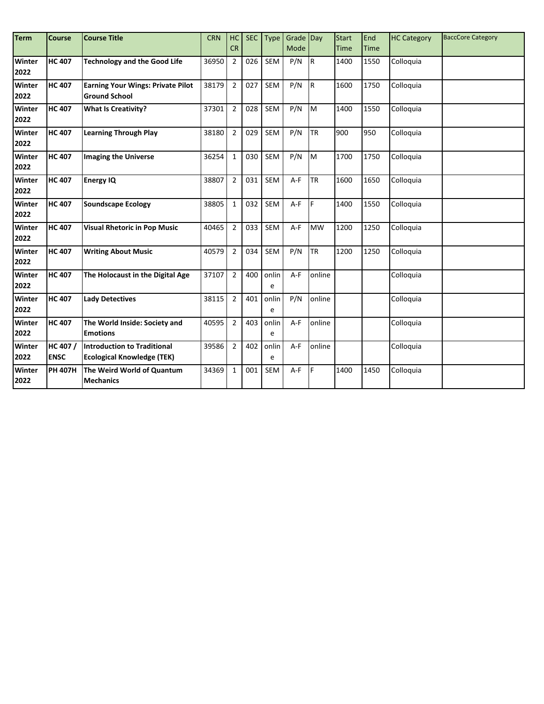| <b>Term</b>    | <b>Course</b>           | <b>Course Title</b>                                                     | <b>CRN</b> | HC             | <b>SEC</b> | Type       | Grade Day |           | <b>Start</b> | End         | <b>HC Category</b> | <b>BaccCore Category</b> |
|----------------|-------------------------|-------------------------------------------------------------------------|------------|----------------|------------|------------|-----------|-----------|--------------|-------------|--------------------|--------------------------|
|                |                         |                                                                         |            | <b>CR</b>      |            |            | Mode      |           | Time         | <b>Time</b> |                    |                          |
| Winter<br>2022 | <b>HC 407</b>           | <b>Technology and the Good Life</b>                                     | 36950      | $\overline{2}$ | 026        | <b>SEM</b> | P/N       | IR.       | 1400         | 1550        | Colloquia          |                          |
| Winter<br>2022 | <b>HC 407</b>           | <b>Earning Your Wings: Private Pilot</b><br><b>Ground School</b>        | 38179      | $\overline{2}$ | 027        | <b>SEM</b> | P/N       | IR.       | 1600         | 1750        | Colloquia          |                          |
| Winter<br>2022 | <b>HC 407</b>           | <b>What Is Creativity?</b>                                              | 37301      | $\overline{2}$ | 028        | <b>SEM</b> | P/N       | M         | 1400         | 1550        | Colloquia          |                          |
| Winter<br>2022 | <b>HC 407</b>           | <b>Learning Through Play</b>                                            | 38180      | $\overline{2}$ | 029        | SEM        | P/N       | TR        | 900          | 950         | Colloquia          |                          |
| Winter<br>2022 | <b>HC 407</b>           | <b>Imaging the Universe</b>                                             | 36254      | $\mathbf{1}$   | 030        | <b>SEM</b> | P/N       | M         | 1700         | 1750        | Colloquia          |                          |
| Winter<br>2022 | <b>HC 407</b>           | <b>Energy IQ</b>                                                        | 38807      | $\overline{2}$ | 031        | <b>SEM</b> | $A-F$     | <b>TR</b> | 1600         | 1650        | Colloquia          |                          |
| Winter<br>2022 | <b>HC 407</b>           | <b>Soundscape Ecology</b>                                               | 38805      | $\mathbf{1}$   | 032        | <b>SEM</b> | A-F       | F         | 1400         | 1550        | Colloquia          |                          |
| Winter<br>2022 | <b>HC407</b>            | <b>Visual Rhetoric in Pop Music</b>                                     | 40465      | $\overline{2}$ | 033        | <b>SEM</b> | $A-F$     | <b>MW</b> | 1200         | 1250        | Colloquia          |                          |
| Winter<br>2022 | <b>HC407</b>            | <b>Writing About Music</b>                                              | 40579      | $\overline{2}$ | 034        | <b>SEM</b> | P/N       | <b>TR</b> | 1200         | 1250        | Colloquia          |                          |
| Winter<br>2022 | <b>HC 407</b>           | The Holocaust in the Digital Age                                        | 37107      | $\overline{2}$ | 400        | onlin<br>e | $A-F$     | online    |              |             | Colloquia          |                          |
| Winter<br>2022 | <b>HC407</b>            | <b>Lady Detectives</b>                                                  | 38115      | $\overline{2}$ | 401        | onlin<br>e | P/N       | online    |              |             | Colloquia          |                          |
| Winter<br>2022 | <b>HC407</b>            | The World Inside: Society and<br><b>Emotions</b>                        | 40595      | $\overline{2}$ | 403        | onlin<br>e | A-F       | online    |              |             | Colloquia          |                          |
| Winter<br>2022 | HC 407 /<br><b>ENSC</b> | <b>Introduction to Traditional</b><br><b>Ecological Knowledge (TEK)</b> | 39586      | $\overline{2}$ | 402        | onlin<br>e | $A-F$     | online    |              |             | Colloquia          |                          |
| Winter<br>2022 | <b>PH 407H</b>          | The Weird World of Quantum<br><b>Mechanics</b>                          | 34369      | $\mathbf{1}$   | 001        | <b>SEM</b> | $A-F$     | F         | 1400         | 1450        | Colloquia          |                          |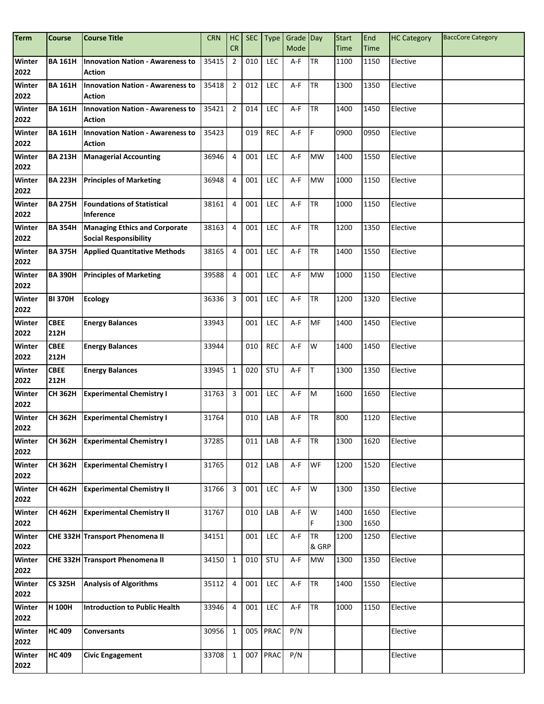| <b>Term</b>           | <b>Course</b>       | <b>Course Title</b>                                                  | <b>CRN</b> | HC             | <b>SEC</b> | <b>Type</b> | Grade Day |                    | <b>Start</b> | End          | <b>HC Category</b> | <b>BaccCore Category</b> |
|-----------------------|---------------------|----------------------------------------------------------------------|------------|----------------|------------|-------------|-----------|--------------------|--------------|--------------|--------------------|--------------------------|
|                       |                     |                                                                      |            | <b>CR</b>      |            |             | Mode      |                    | Time         | <b>Time</b>  |                    |                          |
| Winter<br>2022        | <b>BA 161H</b>      | <b>Innovation Nation - Awareness to</b><br><b>Action</b>             | 35415      | $\overline{2}$ | 010        | LEC         | A-F       | <b>TR</b>          | 1100         | 1150         | Elective           |                          |
| Winter<br>2022        | <b>BA 161H</b>      | <b>Innovation Nation - Awareness to</b><br>Action                    | 35418      | $\overline{2}$ | 012        | LEC         | A-F       | <b>TR</b>          | 1300         | 1350         | Elective           |                          |
| <b>Winter</b><br>2022 | <b>BA 161H</b>      | <b>Innovation Nation - Awareness to</b><br><b>Action</b>             | 35421      | $\overline{2}$ | 014        | <b>LEC</b>  | A-F       | <b>TR</b>          | 1400         | 1450         | Elective           |                          |
| Winter<br>2022        | <b>BA 161H</b>      | <b>Innovation Nation - Awareness to</b><br><b>Action</b>             | 35423      |                | 019        | <b>REC</b>  | A-F       | IF.                | 0900         | 0950         | Elective           |                          |
| <b>Winter</b><br>2022 | <b>BA 213H</b>      | <b>Managerial Accounting</b>                                         | 36946      | $\overline{4}$ | 001        | <b>LEC</b>  | A-F       | <b>MW</b>          | 1400         | 1550         | Elective           |                          |
| Winter<br>2022        | <b>BA 223H</b>      | <b>Principles of Marketing</b>                                       | 36948      | $\overline{4}$ | 001        | LEC         | A-F       | <b>MW</b>          | 1000         | 1150         | Elective           |                          |
| Winter<br>2022        | <b>BA 275H</b>      | <b>Foundations of Statistical</b><br>Inference                       | 38161      | 4              | 001        | <b>LEC</b>  | A-F       | <b>TR</b>          | 1000         | 1150         | Elective           |                          |
| Winter<br>2022        | <b>BA 354H</b>      | <b>Managing Ethics and Corporate</b><br><b>Social Responsibility</b> | 38163      | 4              | 001        | <b>LEC</b>  | A-F       | <b>TR</b>          | 1200         | 1350         | Elective           |                          |
| Winter<br>2022        | <b>BA 375H</b>      | <b>Applied Quantitative Methods</b>                                  | 38165      | 4              | 001        | <b>LEC</b>  | A-F       | <b>TR</b>          | 1400         | 1550         | Elective           |                          |
| Winter<br>2022        | <b>BA 390H</b>      | <b>Principles of Marketing</b>                                       | 39588      | $\overline{4}$ | 001        | LEC         | A-F       | <b>MW</b>          | 1000         | 1150         | Elective           |                          |
| Winter<br>2022        | <b>BI 370H</b>      | <b>Ecology</b>                                                       | 36336      | 3              | 001        | LEC         | A-F       | <b>TR</b>          | 1200         | 1320         | Elective           |                          |
| Winter<br>2022        | <b>CBEE</b><br>212H | <b>Energy Balances</b>                                               | 33943      |                | 001        | LEC         | A-F       | <b>MF</b>          | 1400         | 1450         | Elective           |                          |
| Winter<br>2022        | <b>CBEE</b><br>212H | <b>Energy Balances</b>                                               | 33944      |                | 010        | <b>REC</b>  | A-F       | W                  | 1400         | 1450         | Elective           |                          |
| <b>Winter</b><br>2022 | <b>CBEE</b><br>212H | <b>Energy Balances</b>                                               | 33945      | $\mathbf{1}$   | 020        | STU         | A-F       | IT.                | 1300         | 1350         | Elective           |                          |
| Winter<br>2022        | <b>CH 362H</b>      | <b>Experimental Chemistry I</b>                                      | 31763      | $\mathbf{3}$   | 001        | LEC         | A-F       | M                  | 1600         | 1650         | Elective           |                          |
| <b>Winter</b><br>2022 | <b>CH 362H</b>      | <b>Experimental Chemistry I</b>                                      | 31764      |                | 010        | LAB         | A-F       | <b>TR</b>          | 800          | 1120         | Elective           |                          |
| Winter<br>2022        | <b>CH 362H</b>      | <b>Experimental Chemistry I</b>                                      | 37285      |                | 011        | LAB         | $A-F$     | <b>TR</b>          | 1300         | 1620         | Elective           |                          |
| Winter<br>2022        | <b>CH 362H</b>      | <b>Experimental Chemistry I</b>                                      | 31765      |                | 012        | LAB         | A-F       | <b>WF</b>          | 1200         | 1520         | Elective           |                          |
| Winter<br>2022        | <b>CH 462H</b>      | <b>Experimental Chemistry II</b>                                     | 31766      | 3              | 001        | <b>LEC</b>  | A-F       | W                  | 1300         | 1350         | Elective           |                          |
| Winter<br>2022        | <b>CH 462H</b>      | <b>Experimental Chemistry II</b>                                     | 31767      |                | 010        | LAB         | $A-F$     | W                  | 1400<br>1300 | 1650<br>1650 | Elective           |                          |
| Winter<br>2022        |                     | CHE 332H Transport Phenomena II                                      | 34151      |                | 001        | LEC         | A-F       | <b>TR</b><br>& GRP | 1200         | 1250         | Elective           |                          |
| Winter<br>2022        |                     | CHE 332H Transport Phenomena II                                      | 34150      | $\,1\,$        | 010        | STU         | $A-F$     | <b>MW</b>          | 1300         | 1350         | Elective           |                          |
| <b>Winter</b><br>2022 | <b>CS 325H</b>      | <b>Analysis of Algorithms</b>                                        | 35112      | $\overline{4}$ | 001        | LEC         | A-F       | <b>TR</b>          | 1400         | 1550         | Elective           |                          |
| Winter<br>2022        | H 100H              | <b>Introduction to Public Health</b>                                 | 33946      | $\overline{4}$ | 001        | LEC         | A-F       | <b>TR</b>          | 1000         | 1150         | Elective           |                          |
| Winter<br>2022        | <b>HC</b> 409       | <b>Conversants</b>                                                   | 30956      | $\mathbf{1}$   |            | 005 PRAC    | P/N       |                    |              |              | Elective           |                          |
| Winter<br>2022        | <b>HC 409</b>       | <b>Civic Engagement</b>                                              | 33708      | $\mathbf{1}$   | 007        | PRAC        | P/N       |                    |              |              | Elective           |                          |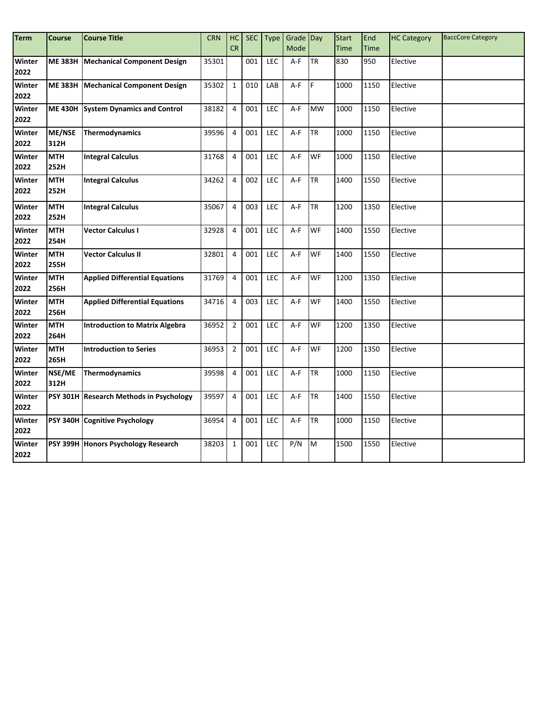| <b>Term</b>    | <b>Course</b>      | <b>Course Title</b>                     | <b>CRN</b> | HC             | <b>SEC</b>       | <b>Type</b> | Grade Day   |           | <b>Start</b> | End         | <b>HC Category</b> | <b>BaccCore Category</b> |
|----------------|--------------------|-----------------------------------------|------------|----------------|------------------|-------------|-------------|-----------|--------------|-------------|--------------------|--------------------------|
|                |                    |                                         |            | CR             |                  |             | <b>Mode</b> |           | <b>Time</b>  | <b>Time</b> |                    |                          |
| Winter<br>2022 |                    | ME 383H Mechanical Component Design     | 35301      |                | 001              | LEC         | A-F         | <b>TR</b> | 830          | 950         | Elective           |                          |
| Winter<br>2022 |                    | ME 383H Mechanical Component Design     | 35302      | $\mathbf{1}$   | 010              | LAB         | A-F         | IF.       | 1000         | 1150        | Elective           |                          |
| Winter<br>2022 |                    | ME 430H System Dynamics and Control     | 38182      | $\overline{4}$ | 001              | LEC         | $A-F$       | <b>MW</b> | 1000         | 1150        | Elective           |                          |
| Winter<br>2022 | ME/NSE<br>312H     | <b>Thermodynamics</b>                   | 39596      | $\overline{4}$ | 001              | LEC         | A-F         | <b>TR</b> | 1000         | 1150        | Elective           |                          |
| Winter<br>2022 | <b>MTH</b><br>252H | <b>Integral Calculus</b>                | 31768      | $\overline{4}$ | 001              | LEC         | A-F         | WF        | 1000         | 1150        | Elective           |                          |
| Winter<br>2022 | <b>MTH</b><br>252H | <b>Integral Calculus</b>                | 34262      | $\overline{4}$ | 002              | LEC         | $A-F$       | <b>TR</b> | 1400         | 1550        | Elective           |                          |
| Winter<br>2022 | <b>MTH</b><br>252H | <b>Integral Calculus</b>                | 35067      | $\overline{4}$ | 003              | LEC         | $A-F$       | <b>TR</b> | 1200         | 1350        | Elective           |                          |
| Winter<br>2022 | <b>MTH</b><br>254H | <b>Vector Calculus I</b>                | 32928      | $\overline{4}$ | 001              | LEC         | $A-F$       | <b>WF</b> | 1400         | 1550        | Elective           |                          |
| Winter<br>2022 | <b>MTH</b><br>255H | <b>Vector Calculus II</b>               | 32801      | $\overline{4}$ | 001              | LEC         | A-F         | <b>WF</b> | 1400         | 1550        | Elective           |                          |
| Winter<br>2022 | <b>MTH</b><br>256H | <b>Applied Differential Equations</b>   | 31769      | $\overline{4}$ | 001              | LEC         | A-F         | <b>WF</b> | 1200         | 1350        | Elective           |                          |
| Winter<br>2022 | <b>MTH</b><br>256H | <b>Applied Differential Equations</b>   | 34716      | $\overline{4}$ | 003              | LEC         | $A-F$       | <b>WF</b> | 1400         | 1550        | Elective           |                          |
| Winter<br>2022 | <b>MTH</b><br>264H | <b>Introduction to Matrix Algebra</b>   | 36952      | $\overline{2}$ | 001              | LEC         | A-F         | WF        | 1200         | 1350        | Elective           |                          |
| Winter<br>2022 | <b>MTH</b><br>265H | <b>Introduction to Series</b>           | 36953      | $\overline{2}$ | $\overline{001}$ | LEC         | $A-F$       | WF        | 1200         | 1350        | Elective           |                          |
| Winter<br>2022 | NSE/ME<br>312H     | Thermodynamics                          | 39598      | $\overline{4}$ | 001              | LEC         | A-F         | <b>TR</b> | 1000         | 1150        | Elective           |                          |
| Winter<br>2022 |                    | PSY 301H Research Methods in Psychology | 39597      | $\overline{4}$ | 001              | LEC         | $A-F$       | <b>TR</b> | 1400         | 1550        | Elective           |                          |
| Winter<br>2022 |                    | PSY 340H Cognitive Psychology           | 36954      | $\overline{4}$ | 001              | LEC         | A-F         | <b>TR</b> | 1000         | 1150        | Elective           |                          |
| Winter<br>2022 |                    | PSY 399H Honors Psychology Research     | 38203      | $\mathbf 1$    | 001              | LEC         | P/N         | M         | 1500         | 1550        | Elective           |                          |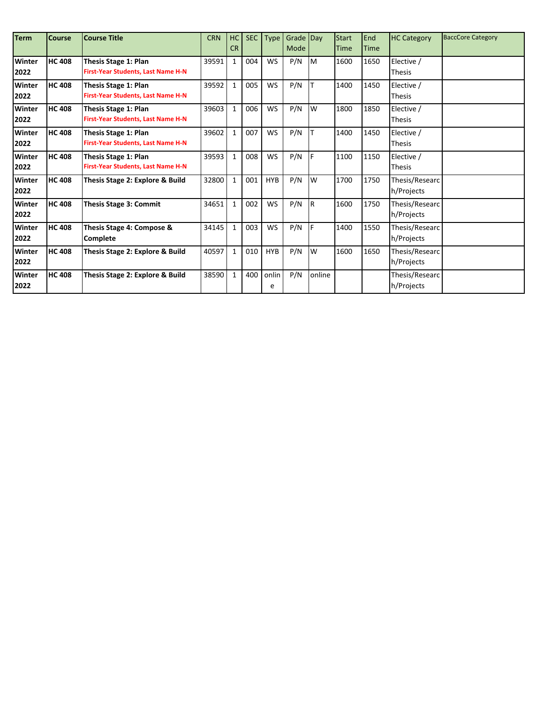| <b>Term</b>   | <b>Course</b> | <b>Course Title</b>                       | <b>CRN</b> | HC           | <b>SEC</b> | <b>Type</b> | Grade Day |        | <b>Start</b> | End         | <b>HC Category</b> | <b>BaccCore Category</b> |
|---------------|---------------|-------------------------------------------|------------|--------------|------------|-------------|-----------|--------|--------------|-------------|--------------------|--------------------------|
|               |               |                                           |            | <b>CR</b>    |            |             | Mode      |        | Time         | <b>Time</b> |                    |                          |
| Winter        | <b>HC 408</b> | <b>Thesis Stage 1: Plan</b>               | 39591      | $\mathbf{1}$ | 004        | <b>WS</b>   | P/N       | Iм     | 1600         | 1650        | Elective /         |                          |
| 2022          |               | <b>First-Year Students, Last Name H-N</b> |            |              |            |             |           |        |              |             | <b>Thesis</b>      |                          |
| <b>Winter</b> | <b>HC 408</b> | Thesis Stage 1: Plan                      | 39592      | $\mathbf{1}$ | 005        | <b>WS</b>   | P/N       |        | 1400         | 1450        | Elective /         |                          |
| 2022          |               | <b>First-Year Students, Last Name H-N</b> |            |              |            |             |           |        |              |             | <b>Thesis</b>      |                          |
| Winter        | <b>HC 408</b> | <b>Thesis Stage 1: Plan</b>               | 39603      | $\mathbf{1}$ | 006        | <b>WS</b>   | P/N       | W      | 1800         | 1850        | Elective /         |                          |
| 2022          |               | <b>First-Year Students, Last Name H-N</b> |            |              |            |             |           |        |              |             | <b>Thesis</b>      |                          |
| <b>Winter</b> | <b>HC 408</b> | <b>Thesis Stage 1: Plan</b>               | 39602      | $\mathbf{1}$ | 007        | <b>WS</b>   | P/N       |        | 1400         | 1450        | Elective /         |                          |
| 2022          |               | <b>First-Year Students, Last Name H-N</b> |            |              |            |             |           |        |              |             | <b>Thesis</b>      |                          |
| <b>Winter</b> | <b>HC 408</b> | <b>Thesis Stage 1: Plan</b>               | 39593      | $\mathbf{1}$ | 008        | <b>WS</b>   | P/N       | I۴     | 1100         | 1150        | Elective /         |                          |
| 2022          |               | First-Year Students, Last Name H-N        |            |              |            |             |           |        |              |             | <b>Thesis</b>      |                          |
| <b>Winter</b> | <b>HC 408</b> | Thesis Stage 2: Explore & Build           | 32800      | $\mathbf{1}$ | 001        | <b>HYB</b>  | P/N       | W      | 1700         | 1750        | Thesis/Researc     |                          |
| 2022          |               |                                           |            |              |            |             |           |        |              |             | h/Projects         |                          |
| Winter        | <b>HC 408</b> | <b>Thesis Stage 3: Commit</b>             | 34651      | $\mathbf{1}$ | 002        | WS          | P/N       | IR.    | 1600         | 1750        | Thesis/Researc     |                          |
| 2022          |               |                                           |            |              |            |             |           |        |              |             | h/Projects         |                          |
| <b>Winter</b> | <b>HC 408</b> | Thesis Stage 4: Compose &                 | 34145      | $\mathbf{1}$ | 003        | <b>WS</b>   | P/N       | lF.    | 1400         | 1550        | Thesis/Researc     |                          |
| 2022          |               | Complete                                  |            |              |            |             |           |        |              |             | h/Projects         |                          |
| Winter        | <b>HC 408</b> | Thesis Stage 2: Explore & Build           | 40597      | $\mathbf{1}$ | 010        | <b>HYB</b>  | P/N       | W      | 1600         | 1650        | Thesis/Researc     |                          |
| 2022          |               |                                           |            |              |            |             |           |        |              |             | h/Projects         |                          |
| <b>Winter</b> | <b>HC 408</b> | Thesis Stage 2: Explore & Build           | 38590      | $\mathbf{1}$ | 400        | onlin       | P/N       | online |              |             | Thesis/Researc     |                          |
| 2022          |               |                                           |            |              |            | e           |           |        |              |             | h/Projects         |                          |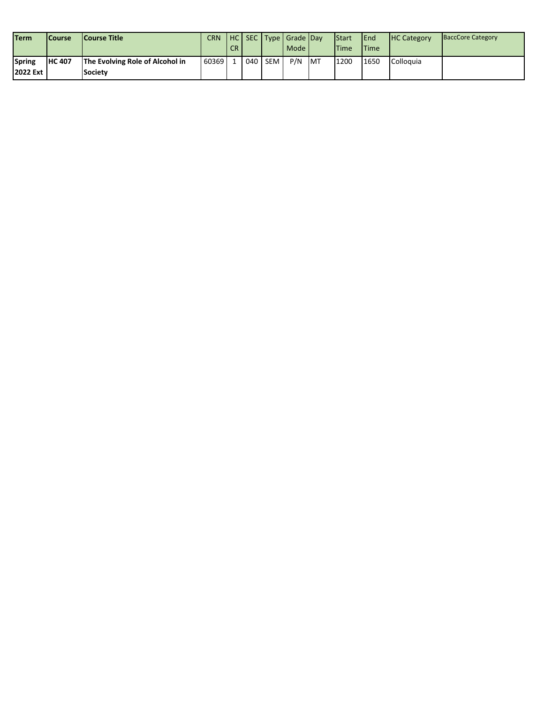| <b>Term</b>                | <b>Course</b>  | <b>Course Title</b>                               | <b>CRN</b> | CR. |       |            | HC SEC Type Grade Day<br>Mode |            | <b>I</b> Start<br><b>Time</b> | <b>IEnd</b><br><b>ITime</b> | <b>HC Category</b> | <b>BaccCore Category</b> |
|----------------------------|----------------|---------------------------------------------------|------------|-----|-------|------------|-------------------------------|------------|-------------------------------|-----------------------------|--------------------|--------------------------|
| <b>Spring</b><br>2022 Ext. | <b>IHC 407</b> | The Evolving Role of Alcohol in<br><b>Society</b> | 60369      |     | 040 l | <b>SEM</b> | P/N                           | <b>IMT</b> | 1200                          | 1650                        | Colloguia          |                          |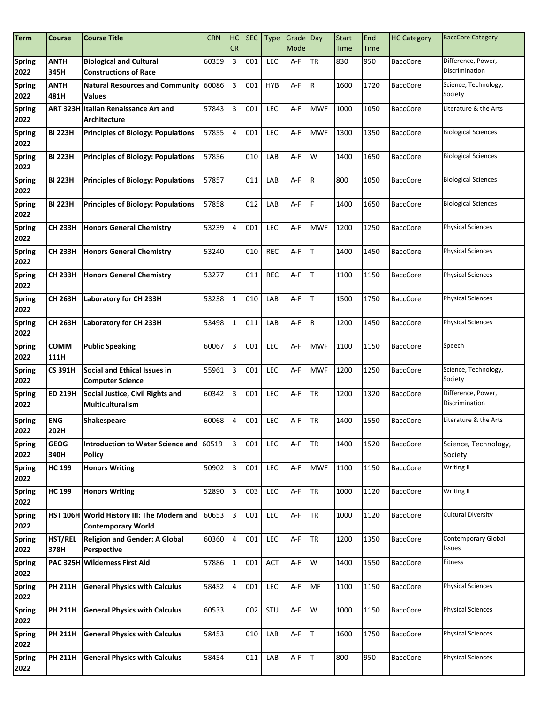| <b>Term</b>           | <b>Course</b>       | <b>Course Title</b>                                                     | <b>CRN</b> | HC<br><b>CR</b>         | <b>SEC</b> | <b>Type</b> | Grade Day<br>Mode |             | <b>Start</b><br><b>Time</b> | End<br>Time | <b>HC Category</b> | <b>BaccCore Category</b>             |
|-----------------------|---------------------|-------------------------------------------------------------------------|------------|-------------------------|------------|-------------|-------------------|-------------|-----------------------------|-------------|--------------------|--------------------------------------|
| Spring<br>2022        | <b>ANTH</b><br>345H | <b>Biological and Cultural</b><br><b>Constructions of Race</b>          | 60359      | 3                       | 001        | <b>LEC</b>  | A-F               | <b>TR</b>   | 830                         | 950         | <b>BaccCore</b>    | Difference, Power,<br>Discrimination |
| <b>Spring</b><br>2022 | <b>ANTH</b><br>481H | <b>Natural Resources and Community</b><br>Values                        | 60086      | 3                       | 001        | <b>HYB</b>  | A-F               | R           | 1600                        | 1720        | <b>BaccCore</b>    | Science, Technology,<br>Society      |
| <b>Spring</b><br>2022 | <b>ART 323H</b>     | <b>Italian Renaissance Art and</b><br>Architecture                      | 57843      | 3                       | 001        | <b>LEC</b>  | A-F               | <b>MWF</b>  | 1000                        | 1050        | <b>BaccCore</b>    | Literature & the Arts                |
| Spring<br>2022        | <b>BI 223H</b>      | <b>Principles of Biology: Populations</b>                               | 57855      | $\overline{4}$          | 001        | <b>LEC</b>  | A-F               | <b>MWF</b>  | 1300                        | 1350        | <b>BaccCore</b>    | <b>Biological Sciences</b>           |
| <b>Spring</b><br>2022 | <b>BI 223H</b>      | <b>Principles of Biology: Populations</b>                               | 57856      |                         | 010        | LAB         | A-F               | W           | 1400                        | 1650        | <b>BaccCore</b>    | <b>Biological Sciences</b>           |
| <b>Spring</b><br>2022 | <b>BI 223H</b>      | <b>Principles of Biology: Populations</b>                               | 57857      |                         | 011        | LAB         | A-F               | R           | 800                         | 1050        | <b>BaccCore</b>    | <b>Biological Sciences</b>           |
| <b>Spring</b><br>2022 | <b>BI 223H</b>      | <b>Principles of Biology: Populations</b>                               | 57858      |                         | 012        | LAB         | A-F               | F.          | 1400                        | 1650        | <b>BaccCore</b>    | <b>Biological Sciences</b>           |
| <b>Spring</b><br>2022 | <b>CH 233H</b>      | <b>Honors General Chemistry</b>                                         | 53239      | $\overline{4}$          | 001        | <b>LEC</b>  | A-F               | <b>MWF</b>  | 1200                        | 1250        | <b>BaccCore</b>    | <b>Physical Sciences</b>             |
| <b>Spring</b><br>2022 | <b>CH 233H</b>      | <b>Honors General Chemistry</b>                                         | 53240      |                         | 010        | <b>REC</b>  | $A-F$             | lT.         | 1400                        | 1450        | <b>BaccCore</b>    | <b>Physical Sciences</b>             |
| <b>Spring</b><br>2022 | <b>CH 233H</b>      | <b>Honors General Chemistry</b>                                         | 53277      |                         | 011        | <b>REC</b>  | A-F               | lT.         | 1100                        | 1150        | <b>BaccCore</b>    | <b>Physical Sciences</b>             |
| <b>Spring</b><br>2022 | <b>CH 263H</b>      | Laboratory for CH 233H                                                  | 53238      | $\mathbf{1}$            | 010        | LAB         | A-F               | т           | 1500                        | 1750        | <b>BaccCore</b>    | <b>Physical Sciences</b>             |
| <b>Spring</b><br>2022 | <b>CH 263H</b>      | Laboratory for CH 233H                                                  | 53498      | $\mathbf{1}$            | 011        | LAB         | A-F               | $\mathsf R$ | 1200                        | 1450        | <b>BaccCore</b>    | <b>Physical Sciences</b>             |
| <b>Spring</b><br>2022 | <b>COMM</b><br>111H | <b>Public Speaking</b>                                                  | 60067      | $\overline{3}$          | 001        | <b>LEC</b>  | A-F               | <b>MWF</b>  | 1100                        | 1150        | <b>BaccCore</b>    | Speech                               |
| <b>Spring</b><br>2022 | <b>CS 391H</b>      | Social and Ethical Issues in<br><b>Computer Science</b>                 | 55961      | 3                       | 001        | <b>LEC</b>  | $A-F$             | <b>MWF</b>  | 1200                        | 1250        | <b>BaccCore</b>    | Science, Technology,<br>Society      |
| <b>Spring</b><br>2022 | <b>ED 219H</b>      | Social Justice, Civil Rights and<br><b>Multiculturalism</b>             | 60342      | $\mathbf{3}$            | 001        | LEC         | A-F               | <b>TR</b>   | 1200                        | 1320        | <b>BaccCore</b>    | Difference, Power,<br>Discrimination |
| <b>Spring</b><br>2022 | <b>ENG</b><br>202H  | <b>Shakespeare</b>                                                      | 60068      | $\overline{4}$          | 001        | LEC         | A-F               | <b>TR</b>   | 1400                        | 1550        | <b>BaccCore</b>    | Literature & the Arts                |
| <b>Spring</b><br>2022 | <b>GEOG</b><br>340H | Introduction to Water Science and 60519<br><b>Policy</b>                |            | 3                       | 001        | <b>LEC</b>  | A-F               | <b>TR</b>   | 1400                        | 1520        | <b>BaccCore</b>    | Science, Technology,<br>Society      |
| Spring<br>2022        | <b>HC 199</b>       | <b>Honors Writing</b>                                                   | 50902      | $\overline{3}$          | 001        | <b>LEC</b>  | A-F               | <b>MWF</b>  | 1100                        | 1150        | <b>BaccCore</b>    | Writing II                           |
| <b>Spring</b><br>2022 | <b>HC 199</b>       | <b>Honors Writing</b>                                                   | 52890      | $\overline{3}$          | 003        | <b>LEC</b>  | A-F               | <b>TR</b>   | 1000                        | 1120        | <b>BaccCore</b>    | Writing II                           |
| <b>Spring</b><br>2022 |                     | HST 106H World History III: The Modern and<br><b>Contemporary World</b> | 60653      | $\overline{\mathbf{3}}$ | 001        | LEC         | A-F               | <b>TR</b>   | 1000                        | 1120        | <b>BaccCore</b>    | <b>Cultural Diversity</b>            |
| <b>Spring</b><br>2022 | HST/REL<br>378H     | Religion and Gender: A Global<br>Perspective                            | 60360      | $\overline{4}$          | 001        | LEC         | A-F               | <b>TR</b>   | 1200                        | 1350        | <b>BaccCore</b>    | Contemporary Global<br>Issues        |
| <b>Spring</b><br>2022 | <b>PAC 325H</b>     | <b>Wilderness First Aid</b>                                             | 57886      | $\mathbf{1}$            | 001        | ACT         | A-F               | W           | 1400                        | 1550        | <b>BaccCore</b>    | Fitness                              |
| <b>Spring</b><br>2022 | <b>PH 211H</b>      | <b>General Physics with Calculus</b>                                    | 58452      | $\overline{4}$          | 001        | LEC         | A-F               | <b>MF</b>   | 1100                        | 1150        | <b>BaccCore</b>    | <b>Physical Sciences</b>             |
| <b>Spring</b><br>2022 | <b>PH 211H</b>      | <b>General Physics with Calculus</b>                                    | 60533      |                         | 002        | STU         | A-F               | W           | 1000                        | 1150        | <b>BaccCore</b>    | <b>Physical Sciences</b>             |
| <b>Spring</b><br>2022 | <b>PH 211H</b>      | <b>General Physics with Calculus</b>                                    | 58453      |                         | 010        | LAB         | A-F               | T           | 1600                        | 1750        | <b>BaccCore</b>    | <b>Physical Sciences</b>             |
| <b>Spring</b><br>2022 | <b>PH 211H</b>      | <b>General Physics with Calculus</b>                                    | 58454      |                         | 011        | LAB         | A-F               | IT.         | 800                         | 950         | <b>BaccCore</b>    | <b>Physical Sciences</b>             |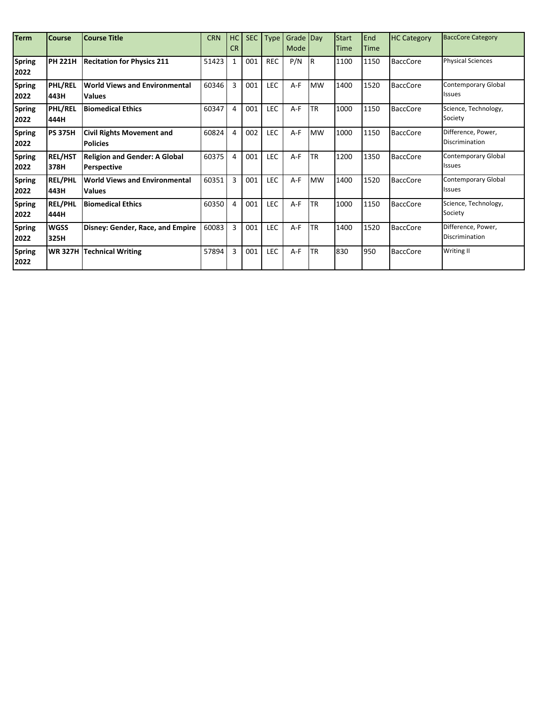| <b>Term</b>           | <b>Course</b>          | <b>Course Title</b>                                        | <b>CRN</b> | HC<br><b>CR</b> | <b>SEC</b> | <b>Type</b> | Grade Day<br>Mode |           | <b>Start</b><br><b>Time</b> | End<br>Time | <b>HC Category</b> | <b>BaccCore Category</b>                    |
|-----------------------|------------------------|------------------------------------------------------------|------------|-----------------|------------|-------------|-------------------|-----------|-----------------------------|-------------|--------------------|---------------------------------------------|
| <b>Spring</b><br>2022 | <b>PH 221H</b>         | <b>Recitation for Physics 211</b>                          | 51423      | $\mathbf{1}$    | 001        | <b>REC</b>  | P/N               | <b>IR</b> | 1100                        | 1150        | <b>BaccCore</b>    | <b>Physical Sciences</b>                    |
| <b>Spring</b><br>2022 | <b>PHL/REL</b><br>443H | <b>World Views and Environmental</b><br><b>Values</b>      | 60346      | $\overline{3}$  | 001        | <b>LEC</b>  | A-F               | <b>MW</b> | 1400                        | 1520        | <b>BaccCore</b>    | <b>Contemporary Global</b><br><b>Issues</b> |
| <b>Spring</b><br>2022 | <b>PHL/REL</b><br>444H | <b>Biomedical Ethics</b>                                   | 60347      | $\overline{4}$  | 001        | LEC         | A-F               | <b>TR</b> | 1000                        | 1150        | <b>BaccCore</b>    | Science, Technology,<br>Society             |
| <b>Spring</b><br>2022 | <b>PS 375H</b>         | <b>Civil Rights Movement and</b><br><b>Policies</b>        | 60824      | 4               | 002        | <b>LEC</b>  | A-F               | <b>MW</b> | 1000                        | 1150        | <b>BaccCore</b>    | Difference, Power,<br>Discrimination        |
| <b>Spring</b><br>2022 | <b>REL/HST</b><br>378H | <b>Religion and Gender: A Global</b><br><b>Perspective</b> | 60375      | 4               | 001        | <b>LEC</b>  | $A-F$             | <b>TR</b> | 1200                        | 1350        | <b>BaccCore</b>    | <b>Contemporary Global</b><br><b>Issues</b> |
| <b>Spring</b><br>2022 | <b>REL/PHL</b><br>443H | <b>World Views and Environmental</b><br><b>Values</b>      | 60351      | $\overline{3}$  | 001        | <b>LEC</b>  | $A-F$             | <b>MW</b> | 1400                        | 1520        | <b>BaccCore</b>    | <b>Contemporary Global</b><br><b>Issues</b> |
| <b>Spring</b><br>2022 | <b>REL/PHL</b><br>444H | <b>Biomedical Ethics</b>                                   | 60350      | $\overline{4}$  | 001        | <b>LEC</b>  | $A-F$             | <b>TR</b> | 1000                        | 1150        | <b>BaccCore</b>    | Science, Technology,<br>Society             |
| <b>Spring</b><br>2022 | <b>WGSS</b><br>325H    | Disney: Gender, Race, and Empire                           | 60083      | $\overline{3}$  | 001        | <b>LEC</b>  | $A-F$             | <b>TR</b> | 1400                        | 1520        | <b>BaccCore</b>    | Difference, Power,<br>Discrimination        |
| <b>Spring</b><br>2022 |                        | <b>WR 327H Technical Writing</b>                           | 57894      | 3               | 001        | <b>LEC</b>  | A-F               | TR        | 830                         | 950         | <b>BaccCore</b>    | Writing II                                  |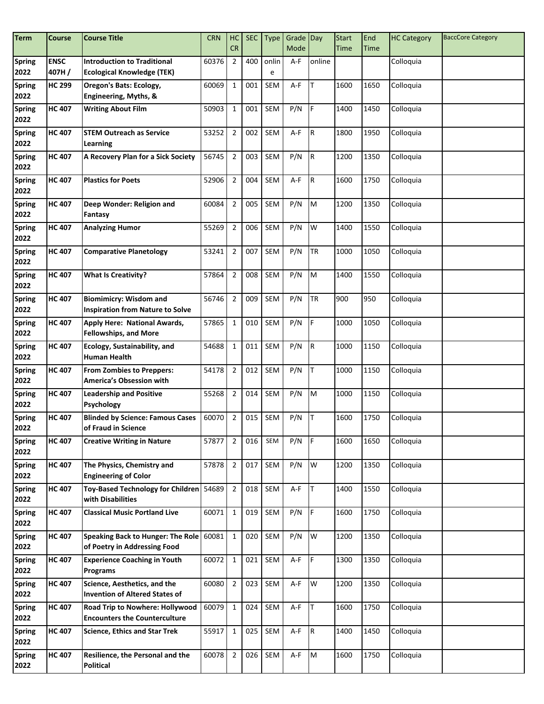| <b>Term</b>           | Course               | <b>Course Title</b>                                                      | <b>CRN</b> | HC<br><b>CR</b> | <b>SEC</b> | <b>Type</b> | Grade Day<br>Mode |           | <b>Start</b> | End  | <b>HC Category</b> | <b>BaccCore Category</b> |
|-----------------------|----------------------|--------------------------------------------------------------------------|------------|-----------------|------------|-------------|-------------------|-----------|--------------|------|--------------------|--------------------------|
|                       |                      |                                                                          |            |                 |            |             |                   |           | Time         | Time |                    |                          |
| <b>Spring</b><br>2022 | <b>ENSC</b><br>407H/ | <b>Introduction to Traditional</b><br><b>Ecological Knowledge (TEK)</b>  | 60376      | $\overline{2}$  | 400        | onlin<br>e  | A-F               | online    |              |      | Colloquia          |                          |
| <b>Spring</b><br>2022 | <b>HC 299</b>        | Oregon's Bats: Ecology,<br>Engineering, Myths, &                         | 60069      | $\mathbf{1}$    | 001        | SEM         | A-F               | lΤ        | 1600         | 1650 | Colloquia          |                          |
| Spring<br>2022        | <b>HC 407</b>        | <b>Writing About Film</b>                                                | 50903      | $\mathbf{1}$    | 001        | <b>SEM</b>  | P/N               | IF.       | 1400         | 1450 | Colloquia          |                          |
| <b>Spring</b><br>2022 | <b>HC 407</b>        | <b>STEM Outreach as Service</b><br>Learning                              | 53252      | $\sqrt{2}$      | 002        | SEM         | A-F               | IR.       | 1800         | 1950 | Colloquia          |                          |
| <b>Spring</b><br>2022 | <b>HC 407</b>        | A Recovery Plan for a Sick Society                                       | 56745      | $\overline{2}$  | 003        | <b>SEM</b>  | P/N               | R         | 1200         | 1350 | Colloquia          |                          |
| <b>Spring</b><br>2022 | <b>HC 407</b>        | <b>Plastics for Poets</b>                                                | 52906      | $\overline{2}$  | 004        | <b>SEM</b>  | A-F               | IR.       | 1600         | 1750 | Colloquia          |                          |
| <b>Spring</b><br>2022 | <b>HC 407</b>        | Deep Wonder: Religion and<br>Fantasy                                     | 60084      | $\overline{2}$  | 005        | SEM         | P/N               | M         | 1200         | 1350 | Colloquia          |                          |
| <b>Spring</b><br>2022 | <b>HC 407</b>        | <b>Analyzing Humor</b>                                                   | 55269      | $\overline{2}$  | 006        | SEM         | P/N               | W         | 1400         | 1550 | Colloquia          |                          |
| <b>Spring</b><br>2022 | <b>HC 407</b>        | <b>Comparative Planetology</b>                                           | 53241      | $\overline{2}$  | 007        | SEM         | P/N               | <b>TR</b> | 1000         | 1050 | Colloquia          |                          |
| <b>Spring</b><br>2022 | <b>HC 407</b>        | <b>What Is Creativity?</b>                                               | 57864      | $\overline{2}$  | 008        | SEM         | P/N               | M         | 1400         | 1550 | Colloquia          |                          |
| <b>Spring</b><br>2022 | <b>HC 407</b>        | <b>Biomimicry: Wisdom and</b><br><b>Inspiration from Nature to Solve</b> | 56746      | $\sqrt{2}$      | 009        | SEM         | P/N               | <b>TR</b> | 900          | 950  | Colloquia          |                          |
| <b>Spring</b><br>2022 | <b>HC 407</b>        | Apply Here: National Awards,<br><b>Fellowships, and More</b>             | 57865      | $\mathbf{1}$    | 010        | SEM         | P/N               | IF.       | 1000         | 1050 | Colloquia          |                          |
| <b>Spring</b><br>2022 | <b>HC 407</b>        | Ecology, Sustainability, and<br><b>Human Health</b>                      | 54688      | $\mathbf{1}$    | 011        | <b>SEM</b>  | P/N               | R.        | 1000         | 1150 | Colloquia          |                          |
| <b>Spring</b><br>2022 | <b>HC 407</b>        | <b>From Zombies to Preppers:</b><br>America's Obsession with             | 54178      | $\overline{2}$  | 012        | <b>SEM</b>  | P/N               | IT.       | 1000         | 1150 | Colloquia          |                          |
| <b>Spring</b><br>2022 | <b>HC 407</b>        | <b>Leadership and Positive</b><br><b>Psychology</b>                      | 55268      | $\overline{2}$  | 014        | <b>SEM</b>  | P/N               | M         | 1000         | 1150 | Colloquia          |                          |
| <b>Spring</b><br>2022 | <b>HC 407</b>        | <b>Blinded by Science: Famous Cases</b><br>of Fraud in Science           | 60070      | $\overline{2}$  | 015        | <b>SEM</b>  | P/N               | IT.       | 1600         | 1750 | Colloquia          |                          |
| Spring<br>2022        | <b>HC 407</b>        | <b>Creative Writing in Nature</b>                                        | 57877      | $\overline{2}$  | 016        | SEM         | P/N               | I۴        | 1600         | 1650 | Colloquia          |                          |
| <b>Spring</b><br>2022 | <b>HC 407</b>        | The Physics, Chemistry and<br><b>Engineering of Color</b>                | 57878      | $\overline{2}$  | 017        | SEM         | P/N               | W         | 1200         | 1350 | Colloquia          |                          |
| <b>Spring</b><br>2022 | <b>HC 407</b>        | <b>Toy-Based Technology for Children</b><br>with Disabilities            | 54689      | $\overline{2}$  | 018        | SEM         | A-F               | ΙT        | 1400         | 1550 | Colloquia          |                          |
| <b>Spring</b><br>2022 | <b>HC 407</b>        | <b>Classical Music Portland Live</b>                                     | 60071      | $\mathbf{1}$    | 019        | SEM         | P/N               | IF.       | 1600         | 1750 | Colloquia          |                          |
| <b>Spring</b><br>2022 | <b>HC 407</b>        | <b>Speaking Back to Hunger: The Role</b><br>of Poetry in Addressing Food | 60081      | $\mathbf 1$     | 020        | SEM         | P/N               | W         | 1200         | 1350 | Colloquia          |                          |
| Spring<br>2022        | <b>HC 407</b>        | <b>Experience Coaching in Youth</b><br><b>Programs</b>                   | 60072      | $\mathbf{1}$    | 021        | SEM         | A-F               | F         | 1300         | 1350 | Colloquia          |                          |
| <b>Spring</b><br>2022 | <b>HC 407</b>        | Science, Aesthetics, and the<br><b>Invention of Altered States of</b>    | 60080      | $\overline{2}$  | 023        | SEM         | A-F               | W         | 1200         | 1350 | Colloquia          |                          |
| <b>Spring</b><br>2022 | <b>HC 407</b>        | Road Trip to Nowhere: Hollywood<br><b>Encounters the Counterculture</b>  | 60079      | $\mathbf{1}$    | 024        | SEM         | A-F               | lT.       | 1600         | 1750 | Colloquia          |                          |
| <b>Spring</b><br>2022 | <b>HC 407</b>        | <b>Science, Ethics and Star Trek</b>                                     | 55917      | $\mathbf{1}$    | 025        | SEM         | A-F               | R         | 1400         | 1450 | Colloquia          |                          |
| <b>Spring</b><br>2022 | <b>HC 407</b>        | Resilience, the Personal and the<br><b>Political</b>                     | 60078      | $\mathbf 2$     | 026        | SEM         | $A-F$             | M         | 1600         | 1750 | Colloquia          |                          |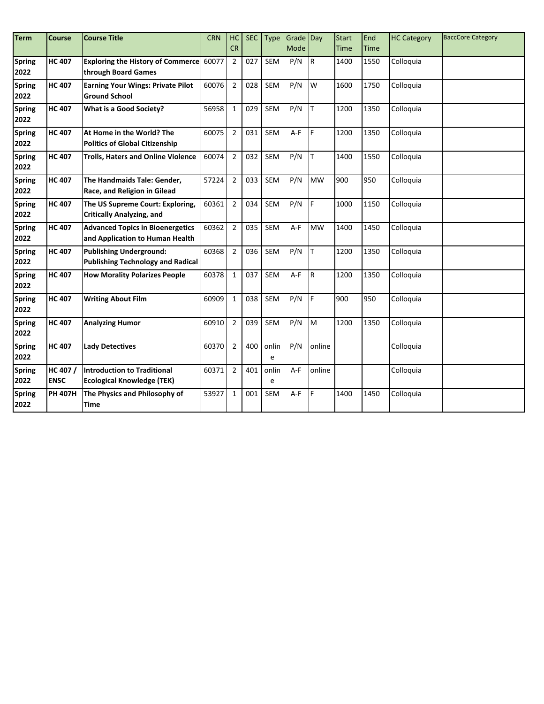| <b>Term</b>   | Course         | <b>Course Title</b>                       | <b>CRN</b> | HC             | <b>SEC</b> | Type       | Grade Day |           | <b>Start</b> | End         | <b>HC Category</b> | <b>BaccCore Category</b> |
|---------------|----------------|-------------------------------------------|------------|----------------|------------|------------|-----------|-----------|--------------|-------------|--------------------|--------------------------|
|               |                |                                           |            | <b>CR</b>      |            |            | Mode      |           | <b>Time</b>  | <b>Time</b> |                    |                          |
| <b>Spring</b> | <b>HC 407</b>  | Exploring the History of Commerce 60077   |            | $\overline{2}$ | 027        | <b>SEM</b> | P/N       | R         | 1400         | 1550        | Colloquia          |                          |
| 2022          |                | through Board Games                       |            |                |            |            |           |           |              |             |                    |                          |
| <b>Spring</b> | <b>HC 407</b>  | <b>Earning Your Wings: Private Pilot</b>  | 60076      | $\overline{2}$ | 028        | <b>SEM</b> | P/N       | W         | 1600         | 1750        | Colloquia          |                          |
| 2022          |                | <b>Ground School</b>                      |            |                |            |            |           |           |              |             |                    |                          |
| <b>Spring</b> | <b>HC 407</b>  | What is a Good Society?                   | 56958      | $\mathbf{1}$   | 029        | <b>SEM</b> | P/N       | T         | 1200         | 1350        | Colloquia          |                          |
| 2022          |                |                                           |            |                |            |            |           |           |              |             |                    |                          |
| <b>Spring</b> | <b>HC 407</b>  | At Home in the World? The                 | 60075      | $\overline{2}$ | 031        | <b>SEM</b> | $A-F$     | F         | 1200         | 1350        | Colloquia          |                          |
| 2022          |                | <b>Politics of Global Citizenship</b>     |            |                |            |            |           |           |              |             |                    |                          |
| <b>Spring</b> | <b>HC407</b>   | <b>Trolls, Haters and Online Violence</b> | 60074      | $\overline{2}$ | 032        | <b>SEM</b> | P/N       | lT.       | 1400         | 1550        | Colloquia          |                          |
| 2022          |                |                                           |            |                |            |            |           |           |              |             |                    |                          |
| <b>Spring</b> | <b>HC 407</b>  | The Handmaids Tale: Gender,               | 57224      | $\overline{2}$ | 033        | <b>SEM</b> | P/N       | <b>MW</b> | 900          | 950         | Colloquia          |                          |
| 2022          |                | Race, and Religion in Gilead              |            |                |            |            |           |           |              |             |                    |                          |
| <b>Spring</b> | <b>HC 407</b>  | The US Supreme Court: Exploring,          | 60361      | $\overline{2}$ | 034        | <b>SEM</b> | P/N       | F         | 1000         | 1150        | Colloquia          |                          |
| 2022          |                | <b>Critically Analyzing, and</b>          |            |                |            |            |           |           |              |             |                    |                          |
| <b>Spring</b> | <b>HC 407</b>  | <b>Advanced Topics in Bioenergetics</b>   | 60362      | $\overline{2}$ | 035        | <b>SEM</b> | $A-F$     | <b>MW</b> | 1400         | 1450        | Colloquia          |                          |
| 2022          |                | and Application to Human Health           |            |                |            |            |           |           |              |             |                    |                          |
| <b>Spring</b> | <b>HC 407</b>  | <b>Publishing Underground:</b>            | 60368      | $\overline{2}$ | 036        | <b>SEM</b> | P/N       | lΤ        | 1200         | 1350        | Colloquia          |                          |
| 2022          |                | <b>Publishing Technology and Radical</b>  |            |                |            |            |           |           |              |             |                    |                          |
| <b>Spring</b> | <b>HC 407</b>  | <b>How Morality Polarizes People</b>      | 60378      | $\mathbf{1}$   | 037        | <b>SEM</b> | $A-F$     | R         | 1200         | 1350        | Colloquia          |                          |
| 2022          |                |                                           |            |                |            |            |           |           |              |             |                    |                          |
| <b>Spring</b> | <b>HC 407</b>  | <b>Writing About Film</b>                 | 60909      | $\mathbf{1}$   | 038        | <b>SEM</b> | P/N       | F         | 900          | 950         | Colloquia          |                          |
| 2022          |                |                                           |            |                |            |            |           |           |              |             |                    |                          |
| <b>Spring</b> | <b>HC 407</b>  | <b>Analyzing Humor</b>                    | 60910      | $\overline{2}$ | 039        | <b>SEM</b> | P/N       | M         | 1200         | 1350        | Colloquia          |                          |
| 2022          |                |                                           |            |                |            |            |           |           |              |             |                    |                          |
| <b>Spring</b> | <b>HC 407</b>  | <b>Lady Detectives</b>                    | 60370      | $\overline{2}$ | 400        | onlin      | P/N       | online    |              |             | Colloquia          |                          |
| 2022          |                |                                           |            |                |            | e          |           |           |              |             |                    |                          |
| <b>Spring</b> | HC 407 /       | Introduction to Traditional               | 60371      | $\overline{2}$ | 401        | onlin      | $A-F$     | online    |              |             | Colloquia          |                          |
| 2022          | <b>ENSC</b>    | <b>Ecological Knowledge (TEK)</b>         |            |                |            | e          |           |           |              |             |                    |                          |
| <b>Spring</b> | <b>PH 407H</b> | The Physics and Philosophy of             | 53927      | $\mathbf{1}$   | 001        | <b>SEM</b> | A-F       | F         | 1400         | 1450        | Colloquia          |                          |
| 2022          |                | Time                                      |            |                |            |            |           |           |              |             |                    |                          |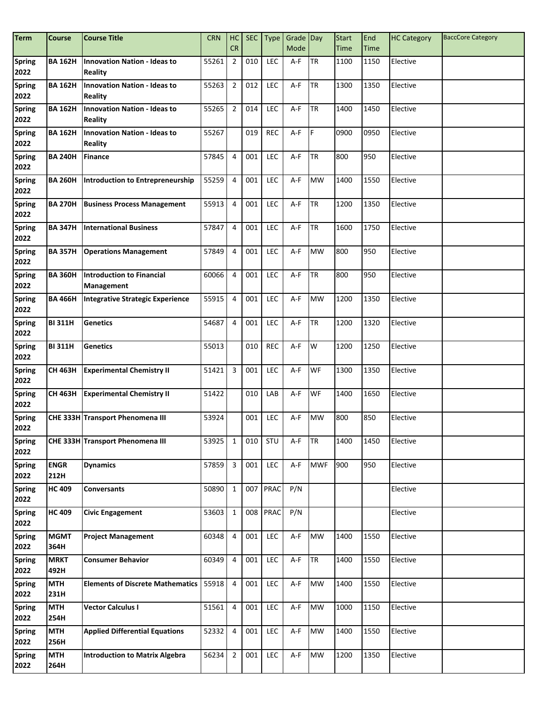| <b>Term</b>           | <b>Course</b>       | <b>Course Title</b>                                   | <b>CRN</b> | HC             | <b>SEC</b> | <b>Type</b> | Grade Day |            | <b>Start</b> | End  | <b>HC Category</b> | <b>BaccCore Category</b> |
|-----------------------|---------------------|-------------------------------------------------------|------------|----------------|------------|-------------|-----------|------------|--------------|------|--------------------|--------------------------|
|                       |                     |                                                       |            | <b>CR</b>      |            |             | Mode      |            | Time         | Time |                    |                          |
| <b>Spring</b><br>2022 | <b>BA 162H</b>      | <b>Innovation Nation - Ideas to</b><br><b>Reality</b> | 55261      | $\overline{2}$ | 010        | LEC         | A-F       | <b>TR</b>  | 1100         | 1150 | Elective           |                          |
| <b>Spring</b><br>2022 | <b>BA 162H</b>      | <b>Innovation Nation - Ideas to</b><br><b>Reality</b> | 55263      | $\overline{2}$ | 012        | LEC         | A-F       | <b>TR</b>  | 1300         | 1350 | Elective           |                          |
| <b>Spring</b><br>2022 | <b>BA 162H</b>      | <b>Innovation Nation - Ideas to</b><br><b>Reality</b> | 55265      | $\overline{2}$ | 014        | <b>LEC</b>  | A-F       | <b>TR</b>  | 1400         | 1450 | Elective           |                          |
| Spring<br>2022        | <b>BA 162H</b>      | <b>Innovation Nation - Ideas to</b><br><b>Reality</b> | 55267      |                | 019        | <b>REC</b>  | A-F       | IF.        | 0900         | 0950 | Elective           |                          |
| <b>Spring</b><br>2022 | <b>BA 240H</b>      | <b>Finance</b>                                        | 57845      | $\overline{4}$ | 001        | <b>LEC</b>  | A-F       | <b>TR</b>  | 800          | 950  | Elective           |                          |
| <b>Spring</b><br>2022 | <b>BA 260H</b>      | Introduction to Entrepreneurship                      | 55259      | $\overline{4}$ | 001        | LEC         | A-F       | <b>MW</b>  | 1400         | 1550 | Elective           |                          |
| <b>Spring</b><br>2022 | <b>BA 270H</b>      | <b>Business Process Management</b>                    | 55913      | 4              | 001        | <b>LEC</b>  | A-F       | <b>TR</b>  | 1200         | 1350 | Elective           |                          |
| <b>Spring</b><br>2022 | <b>BA 347H</b>      | <b>International Business</b>                         | 57847      | 4              | 001        | <b>LEC</b>  | A-F       | <b>TR</b>  | 1600         | 1750 | Elective           |                          |
| Spring<br>2022        | <b>BA 357H</b>      | <b>Operations Management</b>                          | 57849      | 4              | 001        | <b>LEC</b>  | A-F       | <b>MW</b>  | 800          | 950  | Elective           |                          |
| <b>Spring</b><br>2022 | <b>BA 360H</b>      | <b>Introduction to Financial</b><br>Management        | 60066      | $\overline{4}$ | 001        | LEC         | A-F       | <b>TR</b>  | 800          | 950  | Elective           |                          |
| Spring<br>2022        | <b>BA 466H</b>      | <b>Integrative Strategic Experience</b>               | 55915      | $\overline{4}$ | 001        | LEC         | A-F       | <b>MW</b>  | 1200         | 1350 | Elective           |                          |
| <b>Spring</b><br>2022 | <b>BI311H</b>       | <b>Genetics</b>                                       | 54687      | $\overline{4}$ | 001        | LEC         | A-F       | <b>TR</b>  | 1200         | 1320 | Elective           |                          |
| Spring<br>2022        | <b>BI311H</b>       | <b>Genetics</b>                                       | 55013      |                | 010        | <b>REC</b>  | A-F       | W          | 1200         | 1250 | Elective           |                          |
| <b>Spring</b><br>2022 | CH 463H             | <b>Experimental Chemistry II</b>                      | 51421      | 3              | 001        | <b>LEC</b>  | A-F       | <b>WF</b>  | 1300         | 1350 | Elective           |                          |
| <b>Spring</b><br>2022 | <b>CH 463H</b>      | <b>Experimental Chemistry II</b>                      | 51422      |                | 010        | LAB         | A-F       | <b>WF</b>  | 1400         | 1650 | Elective           |                          |
| <b>Spring</b><br>2022 |                     | CHE 333H Transport Phenomena III                      | 53924      |                | 001        | <b>LEC</b>  | A-F       | <b>MW</b>  | 800          | 850  | Elective           |                          |
| Spring<br>2022        |                     | CHE 333H Transport Phenomena III                      | 53925      | $\mathbf{1}$   | 010        | STU         | A-F       | <b>TR</b>  | 1400         | 1450 | Elective           |                          |
| Spring<br>2022        | <b>ENGR</b><br>212H | <b>Dynamics</b>                                       | 57859      | $\overline{3}$ | 001        | <b>LEC</b>  | A-F       | <b>MWF</b> | 900          | 950  | Elective           |                          |
| Spring<br>2022        | <b>HC 409</b>       | <b>Conversants</b>                                    | 50890      | $\mathbf{1}$   | 007        | <b>PRAC</b> | P/N       |            |              |      | Elective           |                          |
| Spring<br>2022        | <b>HC 409</b>       | <b>Civic Engagement</b>                               | 53603      | $\mathbf{1}$   |            | 008 PRAC    | P/N       |            |              |      | Elective           |                          |
| Spring<br>2022        | <b>MGMT</b><br>364H | <b>Project Management</b>                             | 60348      | 4              | 001        | LEC         | A-F       | <b>MW</b>  | 1400         | 1550 | Elective           |                          |
| Spring<br>2022        | <b>MRKT</b><br>492H | <b>Consumer Behavior</b>                              | 60349      | $\overline{4}$ | 001        | LEC         | $A-F$     | <b>TR</b>  | 1400         | 1550 | Elective           |                          |
| <b>Spring</b><br>2022 | <b>MTH</b><br>231H  | <b>Elements of Discrete Mathematics</b>               | 55918      | $\overline{4}$ | 001        | <b>LEC</b>  | A-F       | <b>MW</b>  | 1400         | 1550 | Elective           |                          |
| <b>Spring</b><br>2022 | <b>MTH</b><br>254H  | <b>Vector Calculus I</b>                              | 51561      | $\overline{4}$ | 001        | LEC         | A-F       | <b>MW</b>  | 1000         | 1150 | Elective           |                          |
| <b>Spring</b><br>2022 | <b>MTH</b><br>256H  | <b>Applied Differential Equations</b>                 | 52332      | $\overline{4}$ | 001        | LEC         | A-F       | <b>MW</b>  | 1400         | 1550 | Elective           |                          |
| <b>Spring</b><br>2022 | <b>MTH</b><br>264H  | <b>Introduction to Matrix Algebra</b>                 | 56234      | $\mathbf 2$    | 001        | LEC         | $A-F$     | <b>MW</b>  | 1200         | 1350 | Elective           |                          |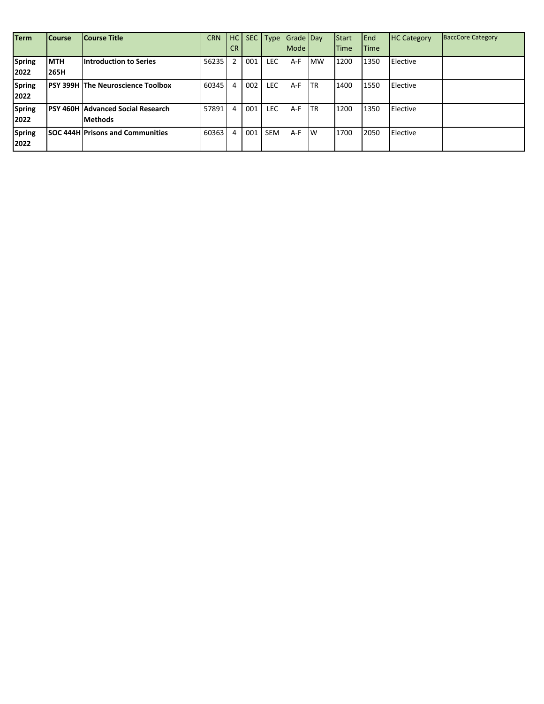| <b>Term</b>           | <b>Course</b>             | <b>Course Title</b>                                         | <b>CRN</b> | <b>CR</b>      |     |            | HC SEC Type Grade Day<br>Mode |            | Start<br><b>Time</b> | <b>IEnd</b><br><b>Time</b> | <b>HC Category</b> | <b>BaccCore Category</b> |
|-----------------------|---------------------------|-------------------------------------------------------------|------------|----------------|-----|------------|-------------------------------|------------|----------------------|----------------------------|--------------------|--------------------------|
| <b>Spring</b><br>2022 | <b>MTH</b><br><b>265H</b> | <b>Introduction to Series</b>                               | 56235      | $\overline{2}$ | 001 | <b>LEC</b> | $A-F$                         | <b>MW</b>  | 1200                 | 1350                       | <b>Elective</b>    |                          |
| <b>Spring</b><br>2022 |                           | <b>IPSY 399H The Neuroscience Toolbox</b>                   | 60345      | 4              | 002 | <b>LEC</b> | A-F                           | <b>ITR</b> | 1400                 | 1550                       | <b>Elective</b>    |                          |
| <b>Spring</b><br>2022 |                           | <b>IPSY 460H Advanced Social Research</b><br><b>Methods</b> | 57891      | 4              | 001 | <b>LEC</b> | $A-F$                         | <b>ITR</b> | 1200                 | 1350                       | Elective           |                          |
| <b>Spring</b><br>2022 |                           | <b>SOC 444H Prisons and Communities</b>                     | 60363      | 4              | 001 | <b>SEM</b> | A-F                           | <b>IW</b>  | 1700                 | 2050                       | Elective           |                          |